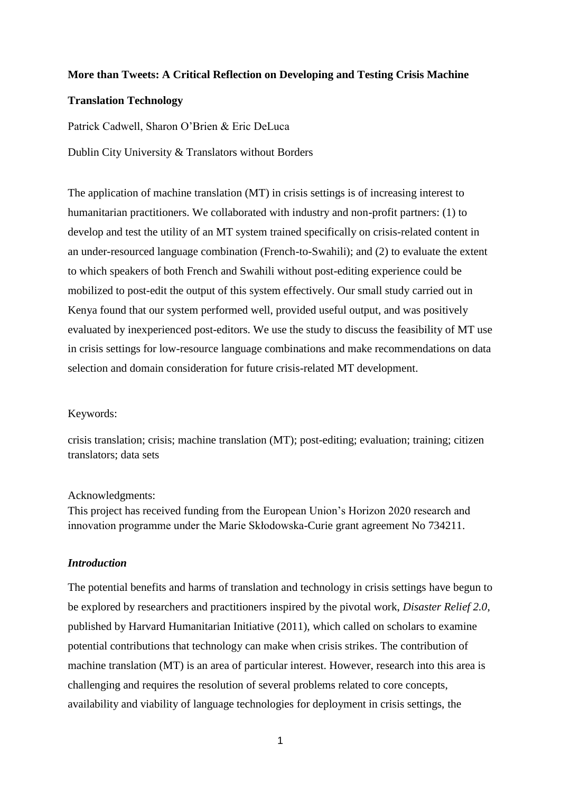#### **More than Tweets: A Critical Reflection on Developing and Testing Crisis Machine**

#### **Translation Technology**

Patrick Cadwell, Sharon O'Brien & Eric DeLuca

Dublin City University & Translators without Borders

The application of machine translation (MT) in crisis settings is of increasing interest to humanitarian practitioners. We collaborated with industry and non-profit partners: (1) to develop and test the utility of an MT system trained specifically on crisis-related content in an under-resourced language combination (French-to-Swahili); and (2) to evaluate the extent to which speakers of both French and Swahili without post-editing experience could be mobilized to post-edit the output of this system effectively. Our small study carried out in Kenya found that our system performed well, provided useful output, and was positively evaluated by inexperienced post-editors. We use the study to discuss the feasibility of MT use in crisis settings for low-resource language combinations and make recommendations on data selection and domain consideration for future crisis-related MT development.

#### Keywords:

crisis translation; crisis; machine translation (MT); post-editing; evaluation; training; citizen translators; data sets

#### Acknowledgments:

This project has received funding from the European Union's Horizon 2020 research and innovation programme under the Marie Skłodowska-Curie grant agreement No 734211.

## *Introduction*

The potential benefits and harms of translation and technology in crisis settings have begun to be explored by researchers and practitioners inspired by the pivotal work, *Disaster Relief 2.0*, published by Harvard Humanitarian Initiative (2011), which called on scholars to examine potential contributions that technology can make when crisis strikes. The contribution of machine translation (MT) is an area of particular interest. However, research into this area is challenging and requires the resolution of several problems related to core concepts, availability and viability of language technologies for deployment in crisis settings, the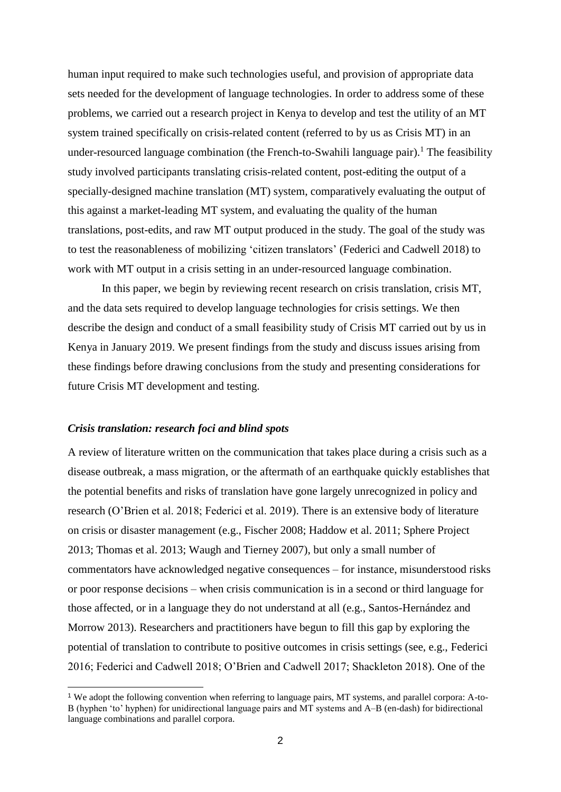human input required to make such technologies useful, and provision of appropriate data sets needed for the development of language technologies. In order to address some of these problems, we carried out a research project in Kenya to develop and test the utility of an MT system trained specifically on crisis-related content (referred to by us as Crisis MT) in an under-resourced language combination (the French-to-Swahili language pair).<sup>1</sup> The feasibility study involved participants translating crisis-related content, post-editing the output of a specially-designed machine translation (MT) system, comparatively evaluating the output of this against a market-leading MT system, and evaluating the quality of the human translations, post-edits, and raw MT output produced in the study. The goal of the study was to test the reasonableness of mobilizing 'citizen translators' (Federici and Cadwell 2018) to work with MT output in a crisis setting in an under-resourced language combination.

In this paper, we begin by reviewing recent research on crisis translation, crisis MT, and the data sets required to develop language technologies for crisis settings. We then describe the design and conduct of a small feasibility study of Crisis MT carried out by us in Kenya in January 2019. We present findings from the study and discuss issues arising from these findings before drawing conclusions from the study and presenting considerations for future Crisis MT development and testing.

#### *Crisis translation: research foci and blind spots*

-

A review of literature written on the communication that takes place during a crisis such as a disease outbreak, a mass migration, or the aftermath of an earthquake quickly establishes that the potential benefits and risks of translation have gone largely unrecognized in policy and research (O'Brien et al. 2018; Federici et al. 2019). There is an extensive body of literature on crisis or disaster management (e.g., Fischer 2008; Haddow et al. 2011; Sphere Project 2013; Thomas et al. 2013; Waugh and Tierney 2007), but only a small number of commentators have acknowledged negative consequences – for instance, misunderstood risks or poor response decisions – when crisis communication is in a second or third language for those affected, or in a language they do not understand at all (e.g., Santos-Hernández and Morrow 2013). Researchers and practitioners have begun to fill this gap by exploring the potential of translation to contribute to positive outcomes in crisis settings (see, e.g., Federici 2016; Federici and Cadwell 2018; O'Brien and Cadwell 2017; Shackleton 2018). One of the

<sup>1</sup> We adopt the following convention when referring to language pairs, MT systems, and parallel corpora: A-to-B (hyphen 'to' hyphen) for unidirectional language pairs and MT systems and A–B (en-dash) for bidirectional language combinations and parallel corpora.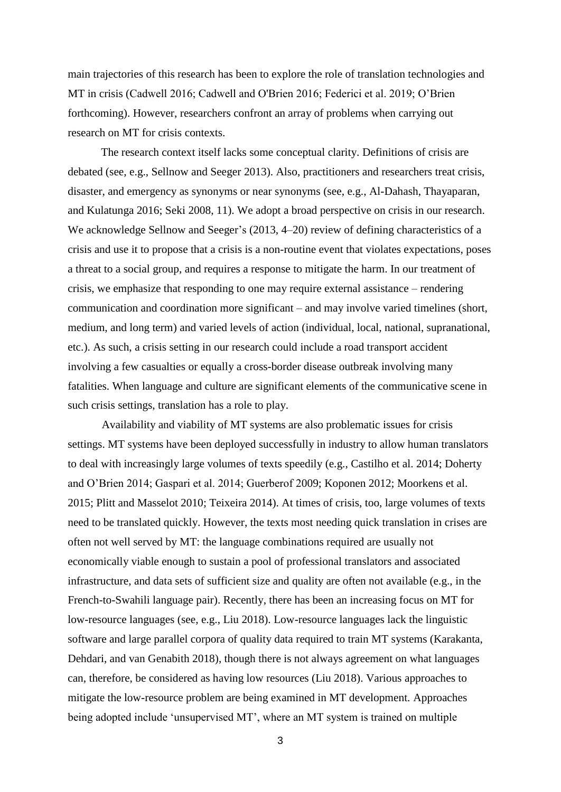main trajectories of this research has been to explore the role of translation technologies and MT in crisis (Cadwell 2016; Cadwell and O'Brien 2016; Federici et al. 2019; O'Brien forthcoming). However, researchers confront an array of problems when carrying out research on MT for crisis contexts.

The research context itself lacks some conceptual clarity. Definitions of crisis are debated (see, e.g., Sellnow and Seeger 2013). Also, practitioners and researchers treat crisis, disaster, and emergency as synonyms or near synonyms (see, e.g., Al-Dahash, Thayaparan, and Kulatunga 2016; Seki 2008, 11). We adopt a broad perspective on crisis in our research. We acknowledge Sellnow and Seeger's (2013, 4–20) review of defining characteristics of a crisis and use it to propose that a crisis is a non-routine event that violates expectations, poses a threat to a social group, and requires a response to mitigate the harm. In our treatment of crisis, we emphasize that responding to one may require external assistance – rendering communication and coordination more significant – and may involve varied timelines (short, medium, and long term) and varied levels of action (individual, local, national, supranational, etc.). As such, a crisis setting in our research could include a road transport accident involving a few casualties or equally a cross-border disease outbreak involving many fatalities. When language and culture are significant elements of the communicative scene in such crisis settings, translation has a role to play.

Availability and viability of MT systems are also problematic issues for crisis settings. MT systems have been deployed successfully in industry to allow human translators to deal with increasingly large volumes of texts speedily (e.g., Castilho et al. 2014; Doherty and O'Brien 2014; Gaspari et al. 2014; Guerberof 2009; Koponen 2012; Moorkens et al. 2015; Plitt and Masselot 2010; Teixeira 2014). At times of crisis, too, large volumes of texts need to be translated quickly. However, the texts most needing quick translation in crises are often not well served by MT: the language combinations required are usually not economically viable enough to sustain a pool of professional translators and associated infrastructure, and data sets of sufficient size and quality are often not available (e.g., in the French-to-Swahili language pair). Recently, there has been an increasing focus on MT for low-resource languages (see, e.g., Liu 2018). Low-resource languages lack the linguistic software and large parallel corpora of quality data required to train MT systems (Karakanta, Dehdari, and van Genabith 2018), though there is not always agreement on what languages can, therefore, be considered as having low resources (Liu 2018). Various approaches to mitigate the low-resource problem are being examined in MT development. Approaches being adopted include 'unsupervised MT', where an MT system is trained on multiple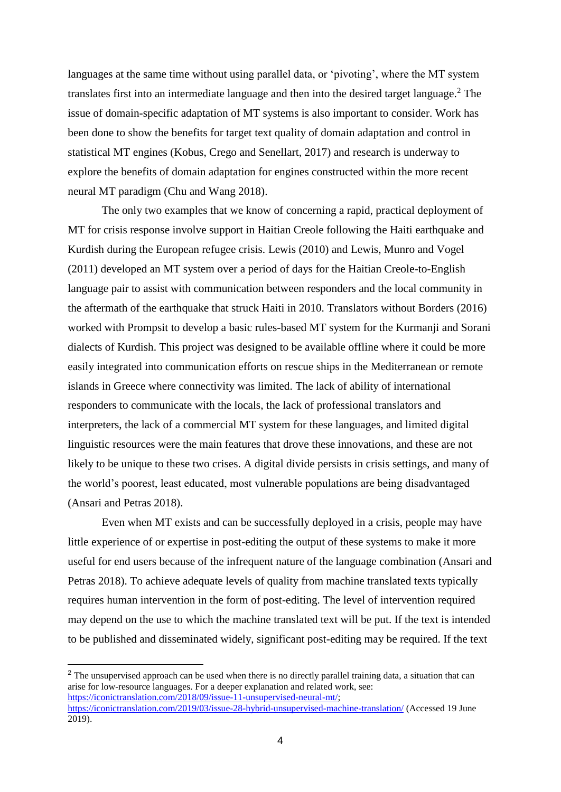languages at the same time without using parallel data, or 'pivoting', where the MT system translates first into an intermediate language and then into the desired target language.<sup>2</sup> The issue of domain-specific adaptation of MT systems is also important to consider. Work has been done to show the benefits for target text quality of domain adaptation and control in statistical MT engines (Kobus, Crego and Senellart, 2017) and research is underway to explore the benefits of domain adaptation for engines constructed within the more recent neural MT paradigm (Chu and Wang 2018).

The only two examples that we know of concerning a rapid, practical deployment of MT for crisis response involve support in Haitian Creole following the Haiti earthquake and Kurdish during the European refugee crisis. Lewis (2010) and Lewis, Munro and Vogel (2011) developed an MT system over a period of days for the Haitian Creole-to-English language pair to assist with communication between responders and the local community in the aftermath of the earthquake that struck Haiti in 2010. Translators without Borders (2016) worked with Prompsit to develop a basic rules-based MT system for the Kurmanji and Sorani dialects of Kurdish. This project was designed to be available offline where it could be more easily integrated into communication efforts on rescue ships in the Mediterranean or remote islands in Greece where connectivity was limited. The lack of ability of international responders to communicate with the locals, the lack of professional translators and interpreters, the lack of a commercial MT system for these languages, and limited digital linguistic resources were the main features that drove these innovations, and these are not likely to be unique to these two crises. A digital divide persists in crisis settings, and many of the world's poorest, least educated, most vulnerable populations are being disadvantaged (Ansari and Petras 2018).

Even when MT exists and can be successfully deployed in a crisis, people may have little experience of or expertise in post-editing the output of these systems to make it more useful for end users because of the infrequent nature of the language combination (Ansari and Petras 2018). To achieve adequate levels of quality from machine translated texts typically requires human intervention in the form of post-editing. The level of intervention required may depend on the use to which the machine translated text will be put. If the text is intended to be published and disseminated widely, significant post-editing may be required. If the text

<sup>2</sup> The unsupervised approach can be used when there is no directly parallel training data, a situation that can arise for low-resource languages. For a deeper explanation and related work, see: https://iconictranslation.com/2018/09/issue-1<u>1-unsupervised-neural-mt/</u>; <https://iconictranslation.com/2019/03/issue-28-hybrid-unsupervised-machine-translation/> (Accessed 19 June 2019).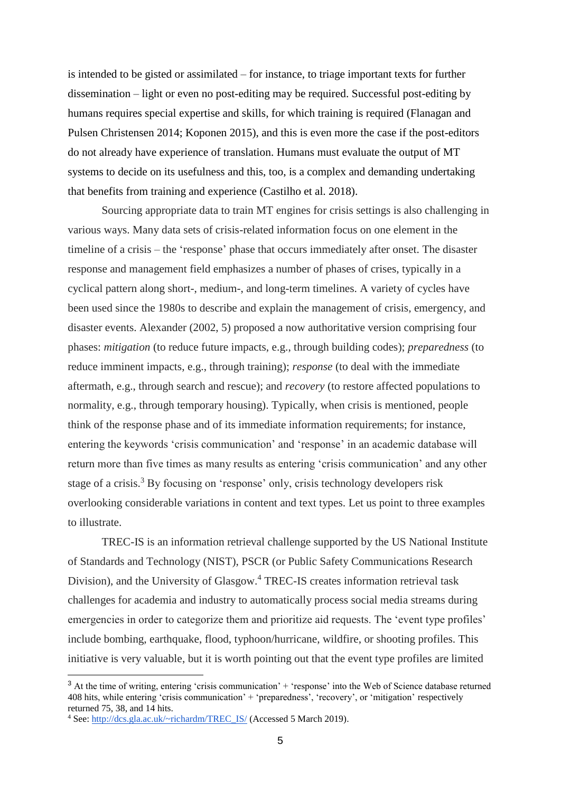is intended to be gisted or assimilated – for instance, to triage important texts for further dissemination – light or even no post-editing may be required. Successful post-editing by humans requires special expertise and skills, for which training is required (Flanagan and Pulsen Christensen 2014; Koponen 2015), and this is even more the case if the post-editors do not already have experience of translation. Humans must evaluate the output of MT systems to decide on its usefulness and this, too, is a complex and demanding undertaking that benefits from training and experience (Castilho et al. 2018).

Sourcing appropriate data to train MT engines for crisis settings is also challenging in various ways. Many data sets of crisis-related information focus on one element in the timeline of a crisis – the 'response' phase that occurs immediately after onset. The disaster response and management field emphasizes a number of phases of crises, typically in a cyclical pattern along short-, medium-, and long-term timelines. A variety of cycles have been used since the 1980s to describe and explain the management of crisis, emergency, and disaster events. Alexander (2002, 5) proposed a now authoritative version comprising four phases: *mitigation* (to reduce future impacts, e.g., through building codes); *preparedness* (to reduce imminent impacts, e.g., through training); *response* (to deal with the immediate aftermath, e.g., through search and rescue); and *recovery* (to restore affected populations to normality, e.g., through temporary housing). Typically, when crisis is mentioned, people think of the response phase and of its immediate information requirements; for instance, entering the keywords 'crisis communication' and 'response' in an academic database will return more than five times as many results as entering 'crisis communication' and any other stage of a crisis.<sup>3</sup> By focusing on 'response' only, crisis technology developers risk overlooking considerable variations in content and text types. Let us point to three examples to illustrate.

TREC-IS is an information retrieval challenge supported by the US National Institute of Standards and Technology (NIST), PSCR (or Public Safety Communications Research Division), and the University of Glasgow.<sup>4</sup> TREC-IS creates information retrieval task challenges for academia and industry to automatically process social media streams during emergencies in order to categorize them and prioritize aid requests. The 'event type profiles' include bombing, earthquake, flood, typhoon/hurricane, wildfire, or shooting profiles. This initiative is very valuable, but it is worth pointing out that the event type profiles are limited

<sup>&</sup>lt;sup>3</sup> At the time of writing, entering 'crisis communication' + 'response' into the Web of Science database returned 408 hits, while entering 'crisis communication' + 'preparedness', 'recovery', or 'mitigation' respectively returned 75, 38, and 14 hits.

<sup>4</sup> See: [http://dcs.gla.ac.uk/~richardm/TREC\\_IS/](http://dcs.gla.ac.uk/~richardm/TREC_IS/) (Accessed 5 March 2019).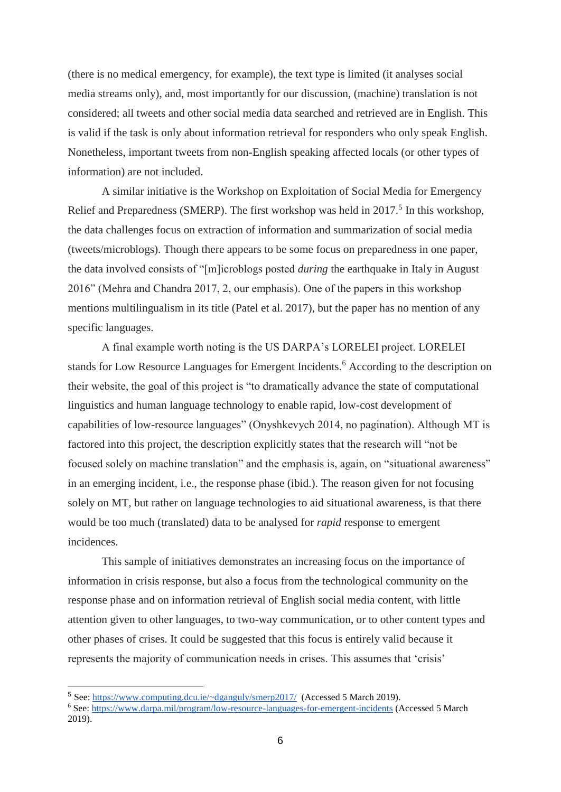(there is no medical emergency, for example), the text type is limited (it analyses social media streams only), and, most importantly for our discussion, (machine) translation is not considered; all tweets and other social media data searched and retrieved are in English. This is valid if the task is only about information retrieval for responders who only speak English. Nonetheless, important tweets from non-English speaking affected locals (or other types of information) are not included.

A similar initiative is the Workshop on Exploitation of Social Media for Emergency Relief and Preparedness (SMERP). The first workshop was held in  $2017<sup>5</sup>$  In this workshop, the data challenges focus on extraction of information and summarization of social media (tweets/microblogs). Though there appears to be some focus on preparedness in one paper, the data involved consists of "[m]icroblogs posted *during* the earthquake in Italy in August 2016" (Mehra and Chandra 2017, 2, our emphasis). One of the papers in this workshop mentions multilingualism in its title (Patel et al. 2017), but the paper has no mention of any specific languages.

A final example worth noting is the US DARPA's LORELEI project. LORELEI stands for Low Resource Languages for Emergent Incidents.<sup>6</sup> According to the description on their website, the goal of this project is "to dramatically advance the state of computational linguistics and human language technology to enable rapid, low-cost development of capabilities of low-resource languages" (Onyshkevych 2014, no pagination). Although MT is factored into this project, the description explicitly states that the research will "not be focused solely on machine translation" and the emphasis is, again, on "situational awareness" in an emerging incident, i.e., the response phase (ibid.). The reason given for not focusing solely on MT, but rather on language technologies to aid situational awareness, is that there would be too much (translated) data to be analysed for *rapid* response to emergent incidences.

This sample of initiatives demonstrates an increasing focus on the importance of information in crisis response, but also a focus from the technological community on the response phase and on information retrieval of English social media content, with little attention given to other languages, to two-way communication, or to other content types and other phases of crises. It could be suggested that this focus is entirely valid because it represents the majority of communication needs in crises. This assumes that 'crisis'

<sup>5</sup> See:<https://www.computing.dcu.ie/~dganguly/smerp2017/>(Accessed 5 March 2019).

<sup>6</sup> See:<https://www.darpa.mil/program/low-resource-languages-for-emergent-incidents> (Accessed 5 March 2019).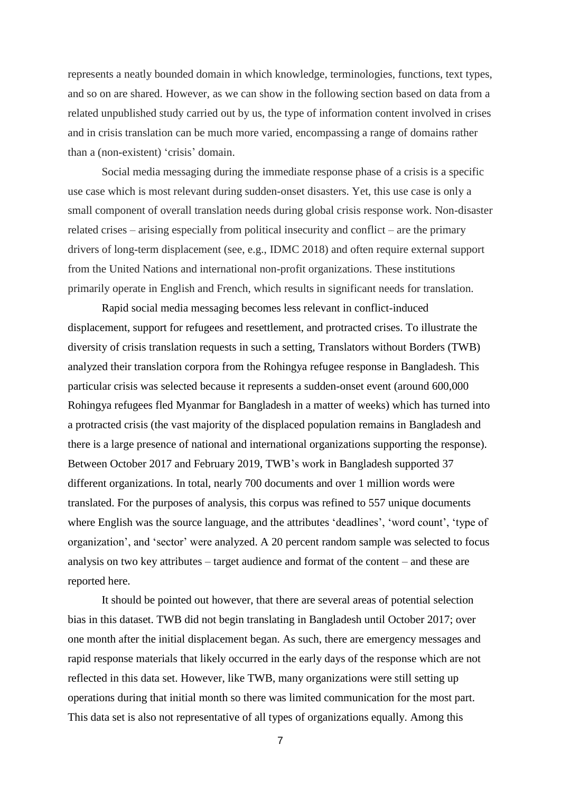represents a neatly bounded domain in which knowledge, terminologies, functions, text types, and so on are shared. However, as we can show in the following section based on data from a related unpublished study carried out by us, the type of information content involved in crises and in crisis translation can be much more varied, encompassing a range of domains rather than a (non-existent) 'crisis' domain.

Social media messaging during the immediate response phase of a crisis is a specific use case which is most relevant during sudden-onset disasters. Yet, this use case is only a small component of overall translation needs during global crisis response work. Non-disaster related crises – arising especially from political insecurity and conflict – are the primary drivers of long-term displacement (see, e.g., IDMC 2018) and often require external support from the United Nations and international non-profit organizations. These institutions primarily operate in English and French, which results in significant needs for translation.

Rapid social media messaging becomes less relevant in conflict-induced displacement, support for refugees and resettlement, and protracted crises. To illustrate the diversity of crisis translation requests in such a setting, Translators without Borders (TWB) analyzed their translation corpora from the Rohingya refugee response in Bangladesh. This particular crisis was selected because it represents a sudden-onset event (around 600,000 Rohingya refugees fled Myanmar for Bangladesh in a matter of weeks) which has turned into a protracted crisis (the vast majority of the displaced population remains in Bangladesh and there is a large presence of national and international organizations supporting the response). Between October 2017 and February 2019, TWB's work in Bangladesh supported 37 different organizations. In total, nearly 700 documents and over 1 million words were translated. For the purposes of analysis, this corpus was refined to 557 unique documents where English was the source language, and the attributes 'deadlines', 'word count', 'type of organization', and 'sector' were analyzed. A 20 percent random sample was selected to focus analysis on two key attributes – target audience and format of the content – and these are reported here.

It should be pointed out however, that there are several areas of potential selection bias in this dataset. TWB did not begin translating in Bangladesh until October 2017; over one month after the initial displacement began. As such, there are emergency messages and rapid response materials that likely occurred in the early days of the response which are not reflected in this data set. However, like TWB, many organizations were still setting up operations during that initial month so there was limited communication for the most part. This data set is also not representative of all types of organizations equally. Among this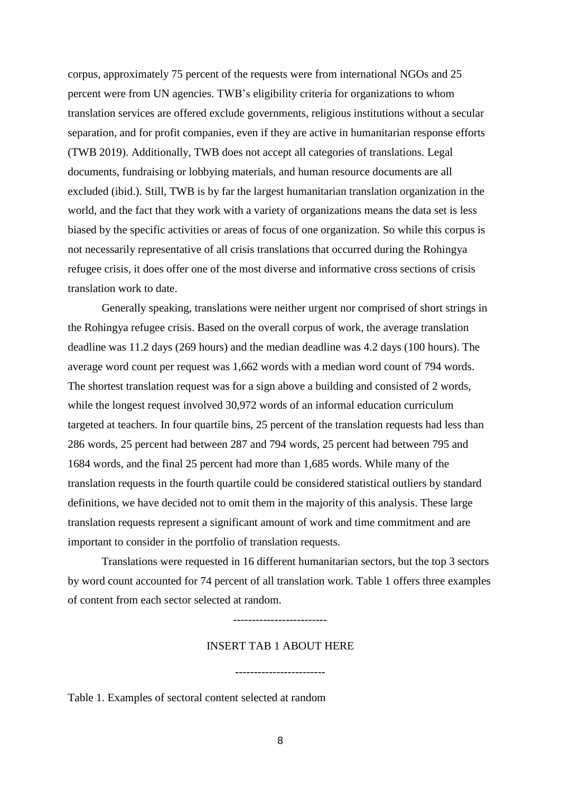corpus, approximately 75 percent of the requests were from international NGOs and 25 percent were from UN agencies. TWB's eligibility criteria for organizations to whom translation services are offered exclude governments, religious institutions without a secular separation, and for profit companies, even if they are active in humanitarian response efforts (TWB 2019). Additionally, TWB does not accept all categories of translations. Legal documents, fundraising or lobbying materials, and human resource documents are all excluded (ibid.). Still, TWB is by far the largest humanitarian translation organization in the world, and the fact that they work with a variety of organizations means the data set is less biased by the specific activities or areas of focus of one organization. So while this corpus is not necessarily representative of all crisis translations that occurred during the Rohingya refugee crisis, it does offer one of the most diverse and informative cross sections of crisis translation work to date.

Generally speaking, translations were neither urgent nor comprised of short strings in the Rohingya refugee crisis. Based on the overall corpus of work, the average translation deadline was 11.2 days (269 hours) and the median deadline was 4.2 days (100 hours). The average word count per request was 1,662 words with a median word count of 794 words. The shortest translation request was for a sign above a building and consisted of 2 words, while the longest request involved 30,972 words of an informal education curriculum targeted at teachers. In four quartile bins, 25 percent of the translation requests had less than 286 words, 25 percent had between 287 and 794 words, 25 percent had between 795 and 1684 words, and the final 25 percent had more than 1,685 words. While many of the translation requests in the fourth quartile could be considered statistical outliers by standard definitions, we have decided not to omit them in the majority of this analysis. These large translation requests represent a significant amount of work and time commitment and are important to consider in the portfolio of translation requests.

Translations were requested in 16 different humanitarian sectors, but the top 3 sectors by word count accounted for 74 percent of all translation work. Table 1 offers three examples of content from each sector selected at random.

-------------------------

## INSERT TAB 1 ABOUT HERE

Table 1. Examples of sectoral content selected at random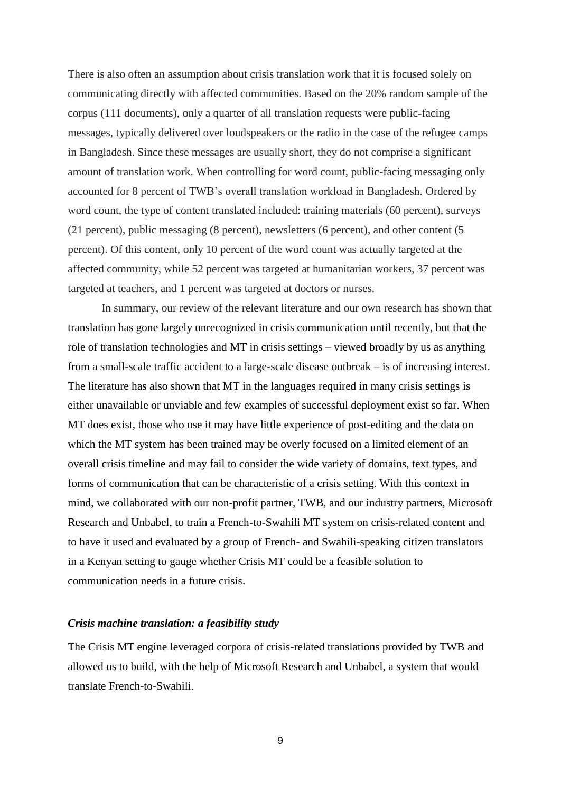There is also often an assumption about crisis translation work that it is focused solely on communicating directly with affected communities. Based on the 20% random sample of the corpus (111 documents), only a quarter of all translation requests were public-facing messages, typically delivered over loudspeakers or the radio in the case of the refugee camps in Bangladesh. Since these messages are usually short, they do not comprise a significant amount of translation work. When controlling for word count, public-facing messaging only accounted for 8 percent of TWB's overall translation workload in Bangladesh. Ordered by word count, the type of content translated included: training materials (60 percent), surveys (21 percent), public messaging (8 percent), newsletters (6 percent), and other content (5 percent). Of this content, only 10 percent of the word count was actually targeted at the affected community, while 52 percent was targeted at humanitarian workers, 37 percent was targeted at teachers, and 1 percent was targeted at doctors or nurses.

In summary, our review of the relevant literature and our own research has shown that translation has gone largely unrecognized in crisis communication until recently, but that the role of translation technologies and MT in crisis settings – viewed broadly by us as anything from a small-scale traffic accident to a large-scale disease outbreak – is of increasing interest. The literature has also shown that MT in the languages required in many crisis settings is either unavailable or unviable and few examples of successful deployment exist so far. When MT does exist, those who use it may have little experience of post-editing and the data on which the MT system has been trained may be overly focused on a limited element of an overall crisis timeline and may fail to consider the wide variety of domains, text types, and forms of communication that can be characteristic of a crisis setting. With this context in mind, we collaborated with our non-profit partner, TWB, and our industry partners, Microsoft Research and Unbabel, to train a French-to-Swahili MT system on crisis-related content and to have it used and evaluated by a group of French- and Swahili-speaking citizen translators in a Kenyan setting to gauge whether Crisis MT could be a feasible solution to communication needs in a future crisis.

#### *Crisis machine translation: a feasibility study*

The Crisis MT engine leveraged corpora of crisis-related translations provided by TWB and allowed us to build, with the help of Microsoft Research and Unbabel, a system that would translate French-to-Swahili.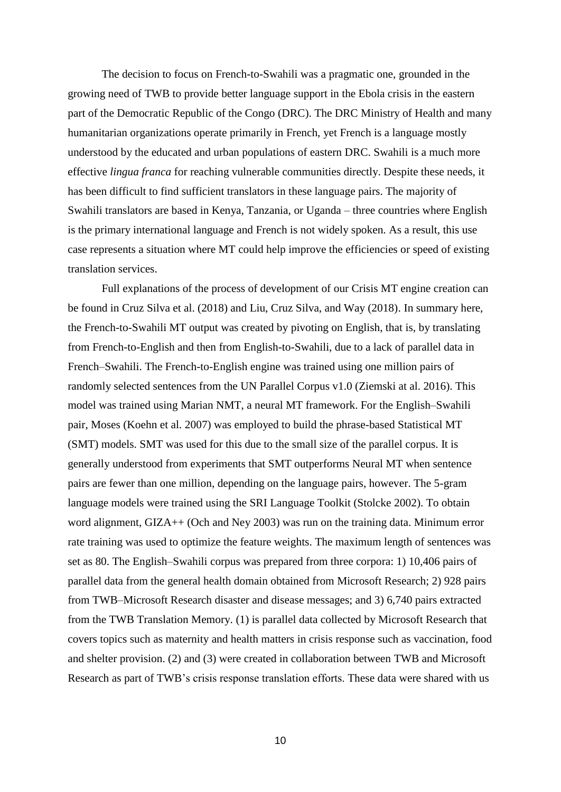The decision to focus on French-to-Swahili was a pragmatic one, grounded in the growing need of TWB to provide better language support in the Ebola crisis in the eastern part of the Democratic Republic of the Congo (DRC). The DRC Ministry of Health and many humanitarian organizations operate primarily in French, yet French is a language mostly understood by the educated and urban populations of eastern DRC. Swahili is a much more effective *lingua franca* for reaching vulnerable communities directly. Despite these needs, it has been difficult to find sufficient translators in these language pairs. The majority of Swahili translators are based in Kenya, Tanzania, or Uganda – three countries where English is the primary international language and French is not widely spoken. As a result, this use case represents a situation where MT could help improve the efficiencies or speed of existing translation services.

Full explanations of the process of development of our Crisis MT engine creation can be found in Cruz Silva et al. (2018) and Liu, Cruz Silva, and Way (2018). In summary here, the French-to-Swahili MT output was created by pivoting on English, that is, by translating from French-to-English and then from English-to-Swahili, due to a lack of parallel data in French–Swahili. The French-to-English engine was trained using one million pairs of randomly selected sentences from the UN Parallel Corpus v1.0 (Ziemski at al. 2016). This model was trained using Marian NMT, a neural MT framework. For the English–Swahili pair, Moses (Koehn et al. 2007) was employed to build the phrase-based Statistical MT (SMT) models. SMT was used for this due to the small size of the parallel corpus. It is generally understood from experiments that SMT outperforms Neural MT when sentence pairs are fewer than one million, depending on the language pairs, however. The 5-gram language models were trained using the SRI Language Toolkit (Stolcke 2002). To obtain word alignment, GIZA++ (Och and Ney 2003) was run on the training data. Minimum error rate training was used to optimize the feature weights. The maximum length of sentences was set as 80. The English–Swahili corpus was prepared from three corpora: 1) 10,406 pairs of parallel data from the general health domain obtained from Microsoft Research; 2) 928 pairs from TWB–Microsoft Research disaster and disease messages; and 3) 6,740 pairs extracted from the TWB Translation Memory. (1) is parallel data collected by Microsoft Research that covers topics such as maternity and health matters in crisis response such as vaccination, food and shelter provision. (2) and (3) were created in collaboration between TWB and Microsoft Research as part of TWB's crisis response translation efforts. These data were shared with us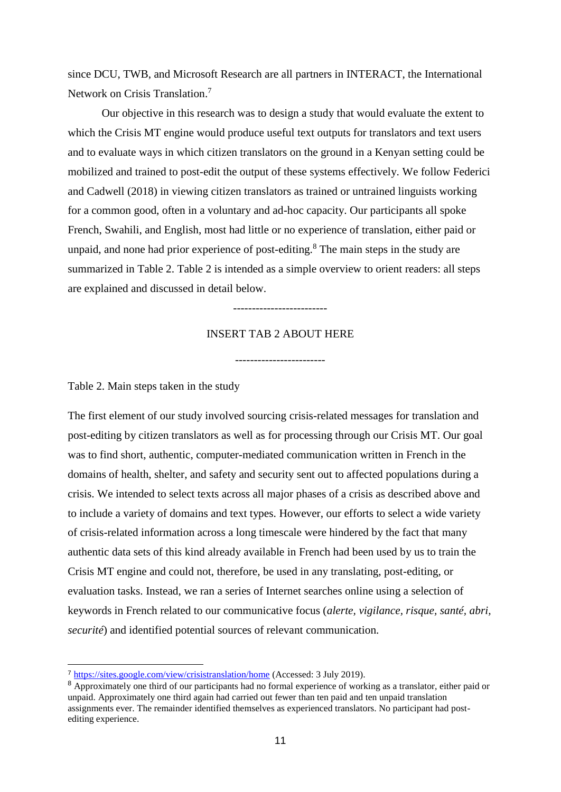since DCU, TWB, and Microsoft Research are all partners in INTERACT, the International Network on Crisis Translation. 7

Our objective in this research was to design a study that would evaluate the extent to which the Crisis MT engine would produce useful text outputs for translators and text users and to evaluate ways in which citizen translators on the ground in a Kenyan setting could be mobilized and trained to post-edit the output of these systems effectively. We follow Federici and Cadwell (2018) in viewing citizen translators as trained or untrained linguists working for a common good, often in a voluntary and ad-hoc capacity. Our participants all spoke French, Swahili, and English, most had little or no experience of translation, either paid or unpaid, and none had prior experience of post-editing. $8$  The main steps in the study are summarized in Table 2. Table 2 is intended as a simple overview to orient readers: all steps are explained and discussed in detail below.

-------------------------

## INSERT TAB 2 ABOUT HERE

------------------------

Table 2. Main steps taken in the study

-

The first element of our study involved sourcing crisis-related messages for translation and post-editing by citizen translators as well as for processing through our Crisis MT. Our goal was to find short, authentic, computer-mediated communication written in French in the domains of health, shelter, and safety and security sent out to affected populations during a crisis. We intended to select texts across all major phases of a crisis as described above and to include a variety of domains and text types. However, our efforts to select a wide variety of crisis-related information across a long timescale were hindered by the fact that many authentic data sets of this kind already available in French had been used by us to train the Crisis MT engine and could not, therefore, be used in any translating, post-editing, or evaluation tasks. Instead, we ran a series of Internet searches online using a selection of keywords in French related to our communicative focus (*alerte, vigilance, risque, santé, abri, securité*) and identified potential sources of relevant communication.

<sup>7</sup> <https://sites.google.com/view/crisistranslation/home> (Accessed: 3 July 2019).

<sup>8</sup> Approximately one third of our participants had no formal experience of working as a translator, either paid or unpaid. Approximately one third again had carried out fewer than ten paid and ten unpaid translation assignments ever. The remainder identified themselves as experienced translators. No participant had postediting experience.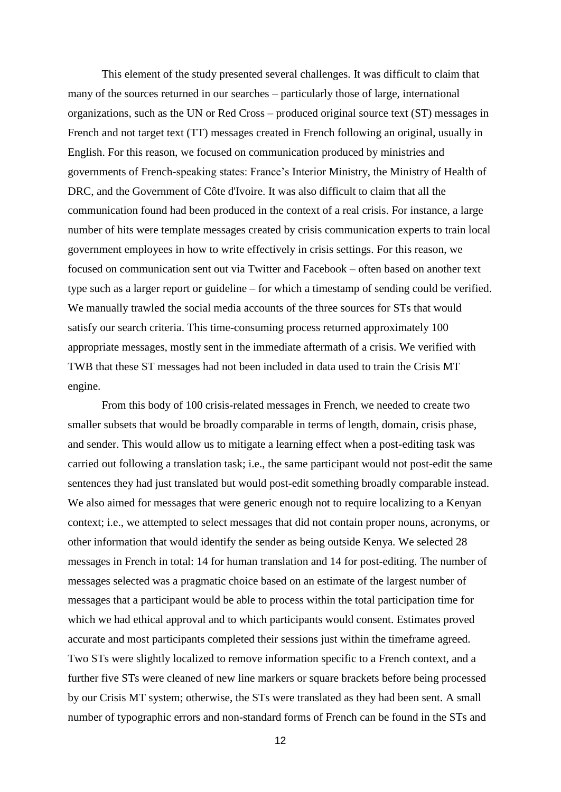This element of the study presented several challenges. It was difficult to claim that many of the sources returned in our searches – particularly those of large, international organizations, such as the UN or Red Cross – produced original source text (ST) messages in French and not target text (TT) messages created in French following an original, usually in English. For this reason, we focused on communication produced by ministries and governments of French-speaking states: France's Interior Ministry, the Ministry of Health of DRC, and the Government of Côte d'Ivoire. It was also difficult to claim that all the communication found had been produced in the context of a real crisis. For instance, a large number of hits were template messages created by crisis communication experts to train local government employees in how to write effectively in crisis settings. For this reason, we focused on communication sent out via Twitter and Facebook – often based on another text type such as a larger report or guideline – for which a timestamp of sending could be verified. We manually trawled the social media accounts of the three sources for STs that would satisfy our search criteria. This time-consuming process returned approximately 100 appropriate messages, mostly sent in the immediate aftermath of a crisis. We verified with TWB that these ST messages had not been included in data used to train the Crisis MT engine.

From this body of 100 crisis-related messages in French, we needed to create two smaller subsets that would be broadly comparable in terms of length, domain, crisis phase, and sender. This would allow us to mitigate a learning effect when a post-editing task was carried out following a translation task; i.e., the same participant would not post-edit the same sentences they had just translated but would post-edit something broadly comparable instead. We also aimed for messages that were generic enough not to require localizing to a Kenyan context; i.e., we attempted to select messages that did not contain proper nouns, acronyms, or other information that would identify the sender as being outside Kenya. We selected 28 messages in French in total: 14 for human translation and 14 for post-editing. The number of messages selected was a pragmatic choice based on an estimate of the largest number of messages that a participant would be able to process within the total participation time for which we had ethical approval and to which participants would consent. Estimates proved accurate and most participants completed their sessions just within the timeframe agreed. Two STs were slightly localized to remove information specific to a French context, and a further five STs were cleaned of new line markers or square brackets before being processed by our Crisis MT system; otherwise, the STs were translated as they had been sent. A small number of typographic errors and non-standard forms of French can be found in the STs and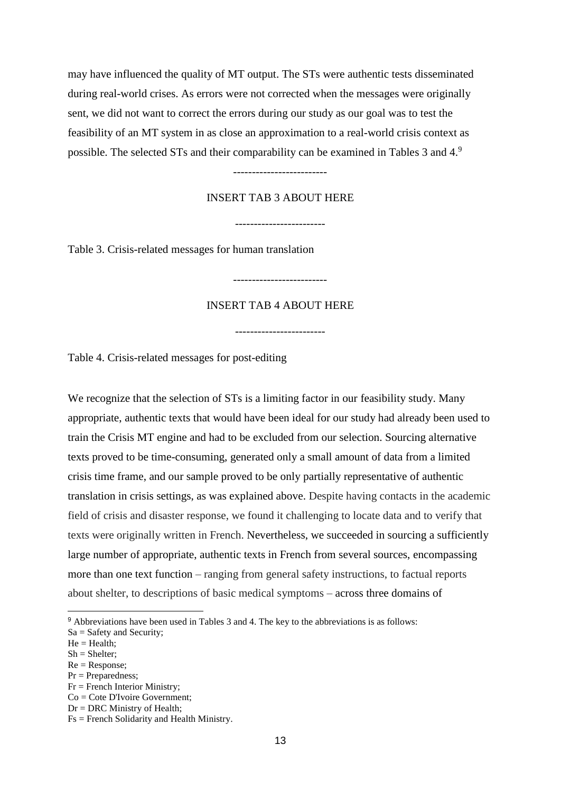may have influenced the quality of MT output. The STs were authentic tests disseminated during real-world crises. As errors were not corrected when the messages were originally sent, we did not want to correct the errors during our study as our goal was to test the feasibility of an MT system in as close an approximation to a real-world crisis context as possible. The selected STs and their comparability can be examined in Tables 3 and 4.9

#### -------------------------

#### INSERT TAB 3 ABOUT HERE

------------------------

Table 3. Crisis-related messages for human translation

### INSERT TAB 4 ABOUT HERE

-------------------------

------------------------

Table 4. Crisis-related messages for post-editing

We recognize that the selection of STs is a limiting factor in our feasibility study. Many appropriate, authentic texts that would have been ideal for our study had already been used to train the Crisis MT engine and had to be excluded from our selection. Sourcing alternative texts proved to be time-consuming, generated only a small amount of data from a limited crisis time frame, and our sample proved to be only partially representative of authentic translation in crisis settings, as was explained above. Despite having contacts in the academic field of crisis and disaster response, we found it challenging to locate data and to verify that texts were originally written in French. Nevertheless, we succeeded in sourcing a sufficiently large number of appropriate, authentic texts in French from several sources, encompassing more than one text function – ranging from general safety instructions, to factual reports about shelter, to descriptions of basic medical symptoms – across three domains of

- Pr = Preparedness;
- $Fr =$  French Interior Ministry:
- $Co = C$ ote D'Ivoire Government:

<sup>9</sup> Abbreviations have been used in Tables 3 and 4. The key to the abbreviations is as follows:

Sa = Safety and Security;

 $He = Health;$ 

Sh = Shelter;

 $Re = Response$ ;

 $Dr = DRC$  Ministry of Health;

Fs = French Solidarity and Health Ministry.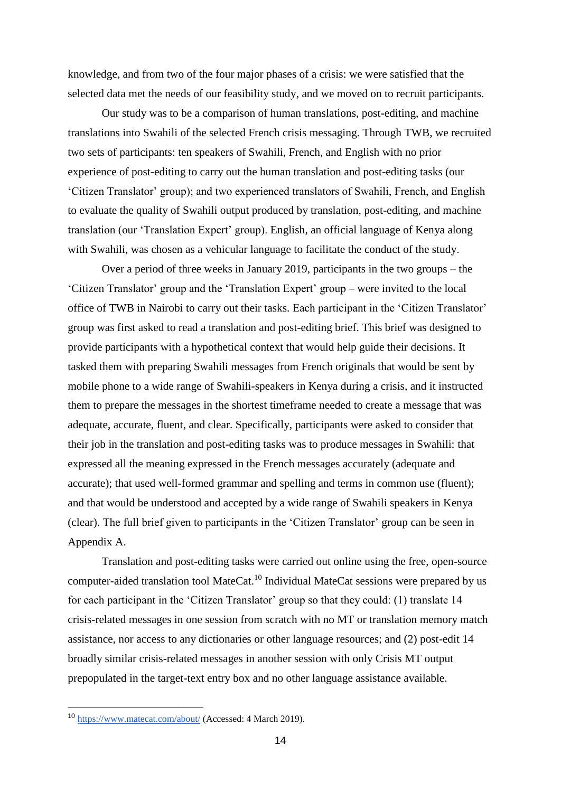knowledge, and from two of the four major phases of a crisis: we were satisfied that the selected data met the needs of our feasibility study, and we moved on to recruit participants.

Our study was to be a comparison of human translations, post-editing, and machine translations into Swahili of the selected French crisis messaging. Through TWB, we recruited two sets of participants: ten speakers of Swahili, French, and English with no prior experience of post-editing to carry out the human translation and post-editing tasks (our 'Citizen Translator' group); and two experienced translators of Swahili, French, and English to evaluate the quality of Swahili output produced by translation, post-editing, and machine translation (our 'Translation Expert' group). English, an official language of Kenya along with Swahili, was chosen as a vehicular language to facilitate the conduct of the study.

Over a period of three weeks in January 2019, participants in the two groups – the 'Citizen Translator' group and the 'Translation Expert' group – were invited to the local office of TWB in Nairobi to carry out their tasks. Each participant in the 'Citizen Translator' group was first asked to read a translation and post-editing brief. This brief was designed to provide participants with a hypothetical context that would help guide their decisions. It tasked them with preparing Swahili messages from French originals that would be sent by mobile phone to a wide range of Swahili-speakers in Kenya during a crisis, and it instructed them to prepare the messages in the shortest timeframe needed to create a message that was adequate, accurate, fluent, and clear. Specifically, participants were asked to consider that their job in the translation and post-editing tasks was to produce messages in Swahili: that expressed all the meaning expressed in the French messages accurately (adequate and accurate); that used well-formed grammar and spelling and terms in common use (fluent); and that would be understood and accepted by a wide range of Swahili speakers in Kenya (clear). The full brief given to participants in the 'Citizen Translator' group can be seen in Appendix A.

Translation and post-editing tasks were carried out online using the free, open-source computer-aided translation tool MateCat.<sup>10</sup> Individual MateCat sessions were prepared by us for each participant in the 'Citizen Translator' group so that they could: (1) translate 14 crisis-related messages in one session from scratch with no MT or translation memory match assistance, nor access to any dictionaries or other language resources; and (2) post-edit 14 broadly similar crisis-related messages in another session with only Crisis MT output prepopulated in the target-text entry box and no other language assistance available.

<sup>10</sup> <https://www.matecat.com/about/> (Accessed: 4 March 2019).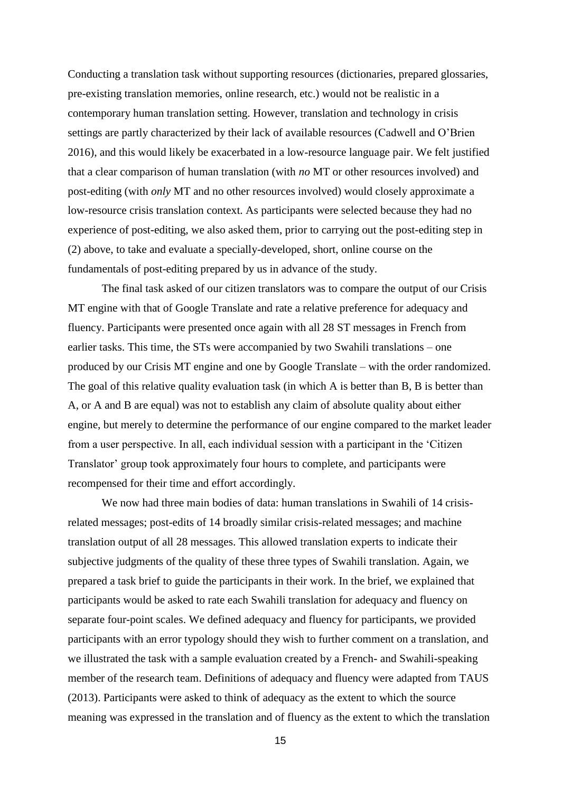Conducting a translation task without supporting resources (dictionaries, prepared glossaries, pre-existing translation memories, online research, etc.) would not be realistic in a contemporary human translation setting. However, translation and technology in crisis settings are partly characterized by their lack of available resources (Cadwell and O'Brien 2016), and this would likely be exacerbated in a low-resource language pair. We felt justified that a clear comparison of human translation (with *no* MT or other resources involved) and post-editing (with *only* MT and no other resources involved) would closely approximate a low-resource crisis translation context. As participants were selected because they had no experience of post-editing, we also asked them, prior to carrying out the post-editing step in (2) above, to take and evaluate a specially-developed, short, online course on the fundamentals of post-editing prepared by us in advance of the study.

The final task asked of our citizen translators was to compare the output of our Crisis MT engine with that of Google Translate and rate a relative preference for adequacy and fluency. Participants were presented once again with all 28 ST messages in French from earlier tasks. This time, the STs were accompanied by two Swahili translations – one produced by our Crisis MT engine and one by Google Translate – with the order randomized. The goal of this relative quality evaluation task (in which A is better than B, B is better than A, or A and B are equal) was not to establish any claim of absolute quality about either engine, but merely to determine the performance of our engine compared to the market leader from a user perspective. In all, each individual session with a participant in the 'Citizen Translator' group took approximately four hours to complete, and participants were recompensed for their time and effort accordingly.

We now had three main bodies of data: human translations in Swahili of 14 crisisrelated messages; post-edits of 14 broadly similar crisis-related messages; and machine translation output of all 28 messages. This allowed translation experts to indicate their subjective judgments of the quality of these three types of Swahili translation. Again, we prepared a task brief to guide the participants in their work. In the brief, we explained that participants would be asked to rate each Swahili translation for adequacy and fluency on separate four-point scales. We defined adequacy and fluency for participants, we provided participants with an error typology should they wish to further comment on a translation, and we illustrated the task with a sample evaluation created by a French- and Swahili-speaking member of the research team. Definitions of adequacy and fluency were adapted from TAUS (2013). Participants were asked to think of adequacy as the extent to which the source meaning was expressed in the translation and of fluency as the extent to which the translation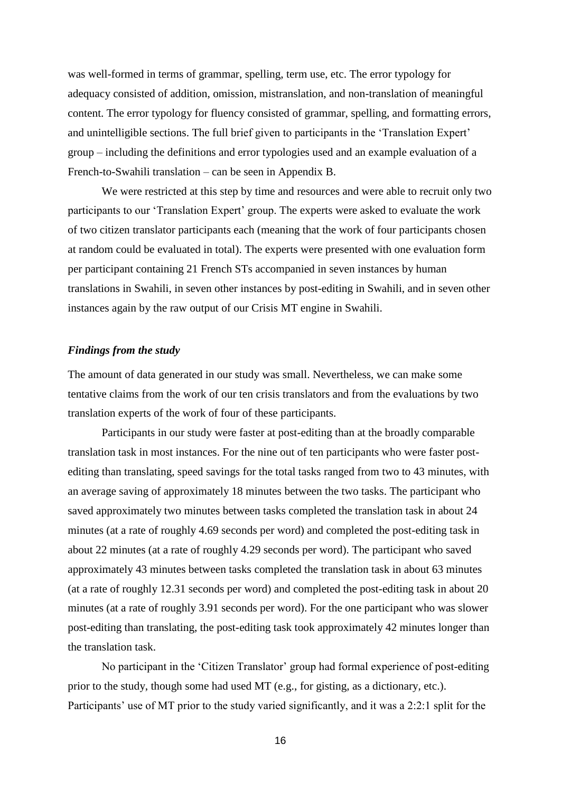was well-formed in terms of grammar, spelling, term use, etc. The error typology for adequacy consisted of addition, omission, mistranslation, and non-translation of meaningful content. The error typology for fluency consisted of grammar, spelling, and formatting errors, and unintelligible sections. The full brief given to participants in the 'Translation Expert' group – including the definitions and error typologies used and an example evaluation of a French-to-Swahili translation – can be seen in Appendix B.

We were restricted at this step by time and resources and were able to recruit only two participants to our 'Translation Expert' group. The experts were asked to evaluate the work of two citizen translator participants each (meaning that the work of four participants chosen at random could be evaluated in total). The experts were presented with one evaluation form per participant containing 21 French STs accompanied in seven instances by human translations in Swahili, in seven other instances by post-editing in Swahili, and in seven other instances again by the raw output of our Crisis MT engine in Swahili.

#### *Findings from the study*

The amount of data generated in our study was small. Nevertheless, we can make some tentative claims from the work of our ten crisis translators and from the evaluations by two translation experts of the work of four of these participants.

Participants in our study were faster at post-editing than at the broadly comparable translation task in most instances. For the nine out of ten participants who were faster postediting than translating, speed savings for the total tasks ranged from two to 43 minutes, with an average saving of approximately 18 minutes between the two tasks. The participant who saved approximately two minutes between tasks completed the translation task in about 24 minutes (at a rate of roughly 4.69 seconds per word) and completed the post-editing task in about 22 minutes (at a rate of roughly 4.29 seconds per word). The participant who saved approximately 43 minutes between tasks completed the translation task in about 63 minutes (at a rate of roughly 12.31 seconds per word) and completed the post-editing task in about 20 minutes (at a rate of roughly 3.91 seconds per word). For the one participant who was slower post-editing than translating, the post-editing task took approximately 42 minutes longer than the translation task.

No participant in the 'Citizen Translator' group had formal experience of post-editing prior to the study, though some had used MT (e.g., for gisting, as a dictionary, etc.). Participants' use of MT prior to the study varied significantly, and it was a 2:2:1 split for the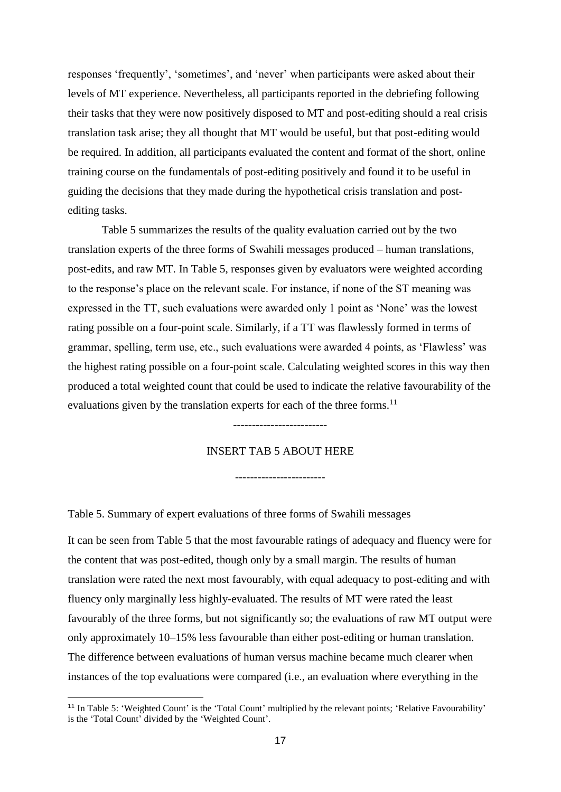responses 'frequently', 'sometimes', and 'never' when participants were asked about their levels of MT experience. Nevertheless, all participants reported in the debriefing following their tasks that they were now positively disposed to MT and post-editing should a real crisis translation task arise; they all thought that MT would be useful, but that post-editing would be required. In addition, all participants evaluated the content and format of the short, online training course on the fundamentals of post-editing positively and found it to be useful in guiding the decisions that they made during the hypothetical crisis translation and postediting tasks.

Table 5 summarizes the results of the quality evaluation carried out by the two translation experts of the three forms of Swahili messages produced – human translations, post-edits, and raw MT. In Table 5, responses given by evaluators were weighted according to the response's place on the relevant scale. For instance, if none of the ST meaning was expressed in the TT, such evaluations were awarded only 1 point as 'None' was the lowest rating possible on a four-point scale. Similarly, if a TT was flawlessly formed in terms of grammar, spelling, term use, etc., such evaluations were awarded 4 points, as 'Flawless' was the highest rating possible on a four-point scale. Calculating weighted scores in this way then produced a total weighted count that could be used to indicate the relative favourability of the evaluations given by the translation experts for each of the three forms.<sup>11</sup>

#### INSERT TAB 5 ABOUT HERE

------------------------

-------------------------

Table 5. Summary of expert evaluations of three forms of Swahili messages

-

It can be seen from Table 5 that the most favourable ratings of adequacy and fluency were for the content that was post-edited, though only by a small margin. The results of human translation were rated the next most favourably, with equal adequacy to post-editing and with fluency only marginally less highly-evaluated. The results of MT were rated the least favourably of the three forms, but not significantly so; the evaluations of raw MT output were only approximately 10–15% less favourable than either post-editing or human translation. The difference between evaluations of human versus machine became much clearer when instances of the top evaluations were compared (i.e., an evaluation where everything in the

<sup>&</sup>lt;sup>11</sup> In Table 5: 'Weighted Count' is the 'Total Count' multiplied by the relevant points; 'Relative Favourability' is the 'Total Count' divided by the 'Weighted Count'.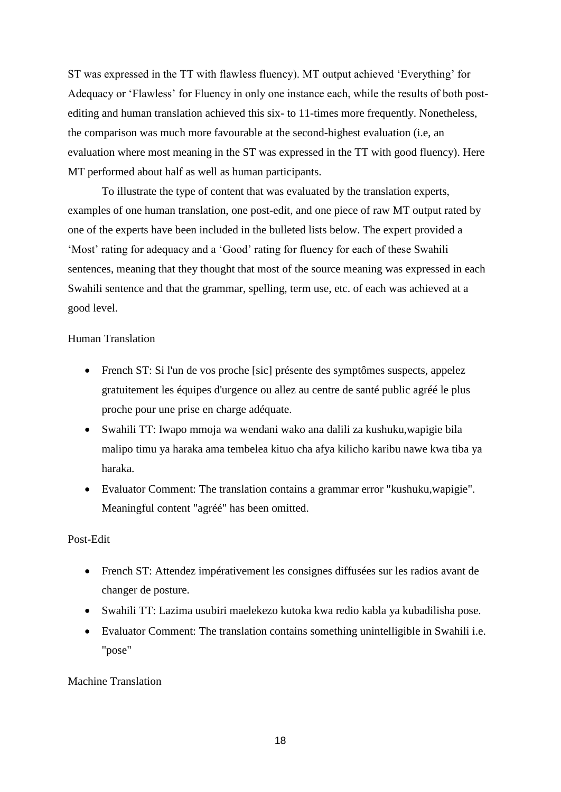ST was expressed in the TT with flawless fluency). MT output achieved 'Everything' for Adequacy or 'Flawless' for Fluency in only one instance each, while the results of both postediting and human translation achieved this six- to 11-times more frequently. Nonetheless, the comparison was much more favourable at the second-highest evaluation (i.e, an evaluation where most meaning in the ST was expressed in the TT with good fluency). Here MT performed about half as well as human participants.

To illustrate the type of content that was evaluated by the translation experts, examples of one human translation, one post-edit, and one piece of raw MT output rated by one of the experts have been included in the bulleted lists below. The expert provided a 'Most' rating for adequacy and a 'Good' rating for fluency for each of these Swahili sentences, meaning that they thought that most of the source meaning was expressed in each Swahili sentence and that the grammar, spelling, term use, etc. of each was achieved at a good level.

## Human Translation

- French ST: Si l'un de vos proche [sic] présente des symptômes suspects, appelez gratuitement les équipes d'urgence ou allez au centre de santé public agréé le plus proche pour une prise en charge adéquate.
- Swahili TT: Iwapo mmoja wa wendani wako ana dalili za kushuku,wapigie bila malipo timu ya haraka ama tembelea kituo cha afya kilicho karibu nawe kwa tiba ya haraka.
- Evaluator Comment: The translation contains a grammar error "kushuku,wapigie". Meaningful content "agréé" has been omitted.

### Post-Edit

- French ST: Attendez impérativement les consignes diffusées sur les radios avant de changer de posture.
- Swahili TT: Lazima usubiri maelekezo kutoka kwa redio kabla ya kubadilisha pose.
- Evaluator Comment: The translation contains something unintelligible in Swahili i.e. "pose"

### Machine Translation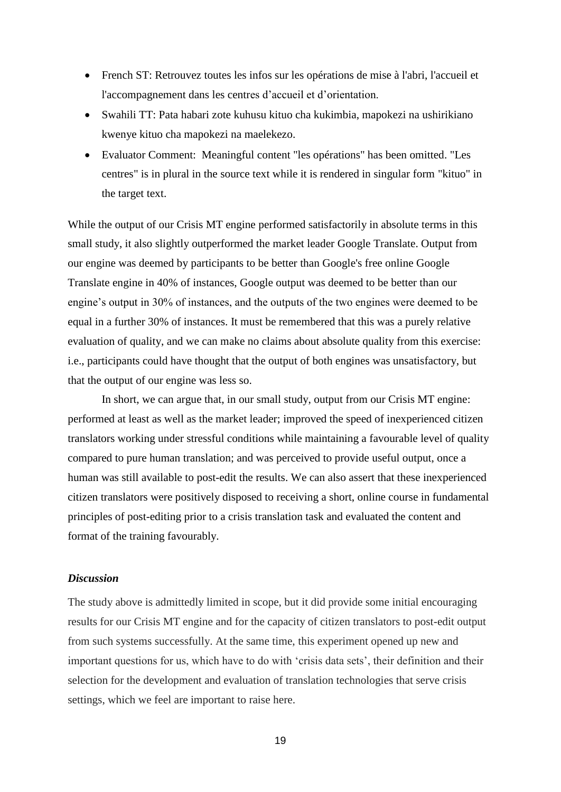- French ST: Retrouvez toutes les infos sur les opérations de mise à l'abri, l'accueil et l'accompagnement dans les centres d'accueil et d'orientation.
- Swahili TT: Pata habari zote kuhusu kituo cha kukimbia, mapokezi na ushirikiano kwenye kituo cha mapokezi na maelekezo.
- Evaluator Comment: Meaningful content "les opérations" has been omitted. "Les centres" is in plural in the source text while it is rendered in singular form "kituo" in the target text.

While the output of our Crisis MT engine performed satisfactorily in absolute terms in this small study, it also slightly outperformed the market leader Google Translate. Output from our engine was deemed by participants to be better than Google's free online Google Translate engine in 40% of instances, Google output was deemed to be better than our engine's output in 30% of instances, and the outputs of the two engines were deemed to be equal in a further 30% of instances. It must be remembered that this was a purely relative evaluation of quality, and we can make no claims about absolute quality from this exercise: i.e., participants could have thought that the output of both engines was unsatisfactory, but that the output of our engine was less so.

In short, we can argue that, in our small study, output from our Crisis MT engine: performed at least as well as the market leader; improved the speed of inexperienced citizen translators working under stressful conditions while maintaining a favourable level of quality compared to pure human translation; and was perceived to provide useful output, once a human was still available to post-edit the results. We can also assert that these inexperienced citizen translators were positively disposed to receiving a short, online course in fundamental principles of post-editing prior to a crisis translation task and evaluated the content and format of the training favourably.

#### *Discussion*

The study above is admittedly limited in scope, but it did provide some initial encouraging results for our Crisis MT engine and for the capacity of citizen translators to post-edit output from such systems successfully. At the same time, this experiment opened up new and important questions for us, which have to do with 'crisis data sets', their definition and their selection for the development and evaluation of translation technologies that serve crisis settings, which we feel are important to raise here.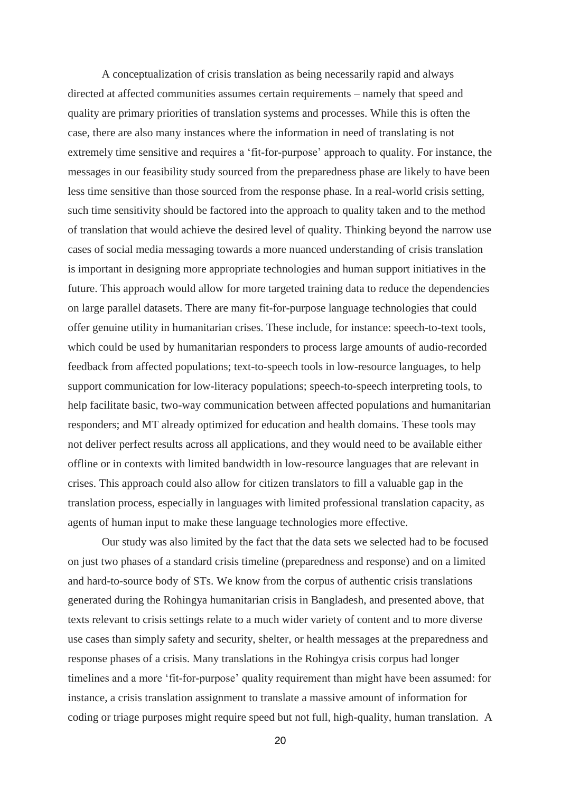A conceptualization of crisis translation as being necessarily rapid and always directed at affected communities assumes certain requirements – namely that speed and quality are primary priorities of translation systems and processes. While this is often the case, there are also many instances where the information in need of translating is not extremely time sensitive and requires a 'fit-for-purpose' approach to quality. For instance, the messages in our feasibility study sourced from the preparedness phase are likely to have been less time sensitive than those sourced from the response phase. In a real-world crisis setting, such time sensitivity should be factored into the approach to quality taken and to the method of translation that would achieve the desired level of quality. Thinking beyond the narrow use cases of social media messaging towards a more nuanced understanding of crisis translation is important in designing more appropriate technologies and human support initiatives in the future. This approach would allow for more targeted training data to reduce the dependencies on large parallel datasets. There are many fit-for-purpose language technologies that could offer genuine utility in humanitarian crises. These include, for instance: speech-to-text tools, which could be used by humanitarian responders to process large amounts of audio-recorded feedback from affected populations; text-to-speech tools in low-resource languages, to help support communication for low-literacy populations; speech-to-speech interpreting tools, to help facilitate basic, two-way communication between affected populations and humanitarian responders; and MT already optimized for education and health domains. These tools may not deliver perfect results across all applications, and they would need to be available either offline or in contexts with limited bandwidth in low-resource languages that are relevant in crises. This approach could also allow for citizen translators to fill a valuable gap in the translation process, especially in languages with limited professional translation capacity, as agents of human input to make these language technologies more effective.

Our study was also limited by the fact that the data sets we selected had to be focused on just two phases of a standard crisis timeline (preparedness and response) and on a limited and hard-to-source body of STs. We know from the corpus of authentic crisis translations generated during the Rohingya humanitarian crisis in Bangladesh, and presented above, that texts relevant to crisis settings relate to a much wider variety of content and to more diverse use cases than simply safety and security, shelter, or health messages at the preparedness and response phases of a crisis. Many translations in the Rohingya crisis corpus had longer timelines and a more 'fit-for-purpose' quality requirement than might have been assumed: for instance, a crisis translation assignment to translate a massive amount of information for coding or triage purposes might require speed but not full, high-quality, human translation. A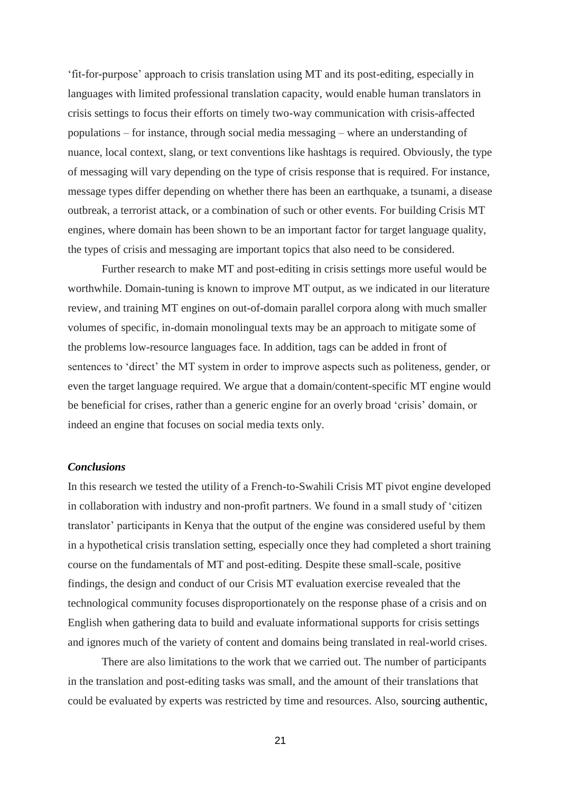'fit-for-purpose' approach to crisis translation using MT and its post-editing, especially in languages with limited professional translation capacity, would enable human translators in crisis settings to focus their efforts on timely two-way communication with crisis-affected populations – for instance, through social media messaging – where an understanding of nuance, local context, slang, or text conventions like hashtags is required. Obviously, the type of messaging will vary depending on the type of crisis response that is required. For instance, message types differ depending on whether there has been an earthquake, a tsunami, a disease outbreak, a terrorist attack, or a combination of such or other events. For building Crisis MT engines, where domain has been shown to be an important factor for target language quality, the types of crisis and messaging are important topics that also need to be considered.

Further research to make MT and post-editing in crisis settings more useful would be worthwhile. Domain-tuning is known to improve MT output, as we indicated in our literature review, and training MT engines on out-of-domain parallel corpora along with much smaller volumes of specific, in-domain monolingual texts may be an approach to mitigate some of the problems low-resource languages face. In addition, tags can be added in front of sentences to 'direct' the MT system in order to improve aspects such as politeness, gender, or even the target language required. We argue that a domain/content-specific MT engine would be beneficial for crises, rather than a generic engine for an overly broad 'crisis' domain, or indeed an engine that focuses on social media texts only.

#### *Conclusions*

In this research we tested the utility of a French-to-Swahili Crisis MT pivot engine developed in collaboration with industry and non-profit partners. We found in a small study of 'citizen translator' participants in Kenya that the output of the engine was considered useful by them in a hypothetical crisis translation setting, especially once they had completed a short training course on the fundamentals of MT and post-editing. Despite these small-scale, positive findings, the design and conduct of our Crisis MT evaluation exercise revealed that the technological community focuses disproportionately on the response phase of a crisis and on English when gathering data to build and evaluate informational supports for crisis settings and ignores much of the variety of content and domains being translated in real-world crises.

There are also limitations to the work that we carried out. The number of participants in the translation and post-editing tasks was small, and the amount of their translations that could be evaluated by experts was restricted by time and resources. Also, sourcing authentic,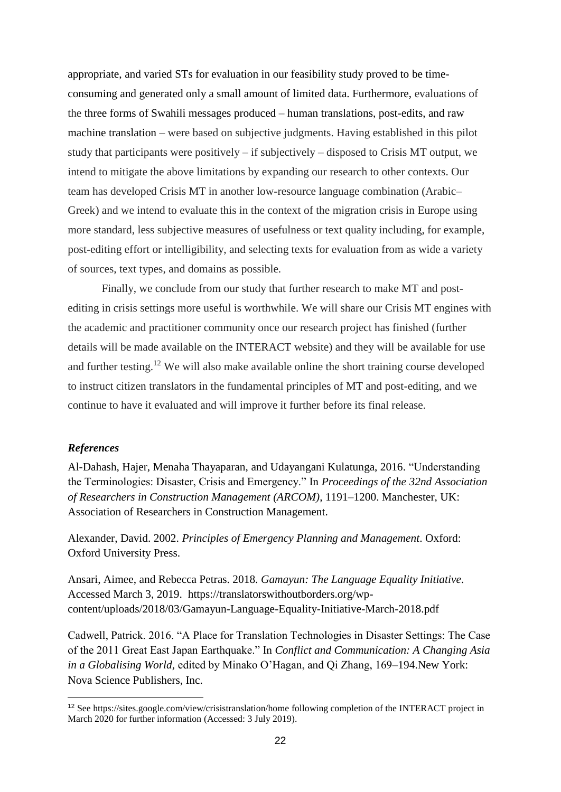appropriate, and varied STs for evaluation in our feasibility study proved to be timeconsuming and generated only a small amount of limited data. Furthermore, evaluations of the three forms of Swahili messages produced – human translations, post-edits, and raw machine translation – were based on subjective judgments. Having established in this pilot study that participants were positively – if subjectively – disposed to Crisis MT output, we intend to mitigate the above limitations by expanding our research to other contexts. Our team has developed Crisis MT in another low-resource language combination (Arabic– Greek) and we intend to evaluate this in the context of the migration crisis in Europe using more standard, less subjective measures of usefulness or text quality including, for example, post-editing effort or intelligibility, and selecting texts for evaluation from as wide a variety of sources, text types, and domains as possible.

Finally, we conclude from our study that further research to make MT and postediting in crisis settings more useful is worthwhile. We will share our Crisis MT engines with the academic and practitioner community once our research project has finished (further details will be made available on the INTERACT website) and they will be available for use and further testing.<sup>12</sup> We will also make available online the short training course developed to instruct citizen translators in the fundamental principles of MT and post-editing, and we continue to have it evaluated and will improve it further before its final release.

#### *References*

-

Al-Dahash, Hajer, Menaha Thayaparan, and Udayangani Kulatunga, 2016. "Understanding the Terminologies: Disaster, Crisis and Emergency." In *Proceedings of the 32nd Association of Researchers in Construction Management (ARCOM)*, 1191–1200. Manchester, UK: Association of Researchers in Construction Management.

Alexander, David. 2002. *Principles of Emergency Planning and Management*. Oxford: Oxford University Press.

Ansari, Aimee, and Rebecca Petras. 2018. *Gamayun: The Language Equality Initiative*. Accessed March 3, 2019. https://translatorswithoutborders.org/wpcontent/uploads/2018/03/Gamayun-Language-Equality-Initiative-March-2018.pdf

Cadwell, Patrick. 2016. "A Place for Translation Technologies in Disaster Settings: The Case of the 2011 Great East Japan Earthquake." In *Conflict and Communication: A Changing Asia in a Globalising World,* edited by Minako O'Hagan, and Qi Zhang, 169–194.New York: Nova Science Publishers, Inc.

<sup>12</sup> See<https://sites.google.com/view/crisistranslation/home> following completion of the INTERACT project in March 2020 for further information (Accessed: 3 July 2019).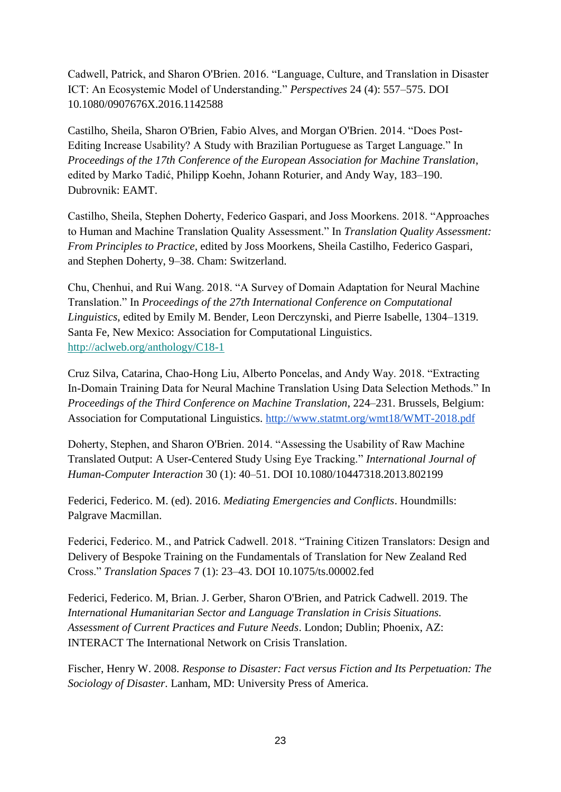Cadwell, Patrick, and Sharon O'Brien. 2016. "Language, Culture, and Translation in Disaster ICT: An Ecosystemic Model of Understanding." *Perspectives* 24 (4): 557–575. DOI 10.1080/0907676X.2016.1142588

Castilho, Sheila, Sharon O'Brien, Fabio Alves, and Morgan O'Brien. 2014. "Does Post-Editing Increase Usability? A Study with Brazilian Portuguese as Target Language." In *Proceedings of the 17th Conference of the European Association for Machine Translation*, edited by Marko Tadić, Philipp Koehn, Johann Roturier, and Andy Way, 183–190. Dubrovnik: EAMT.

Castilho, Sheila, Stephen Doherty, Federico Gaspari, and Joss Moorkens. 2018. "Approaches to Human and Machine Translation Quality Assessment." In *Translation Quality Assessment: From Principles to Practice*, edited by Joss Moorkens, Sheila Castilho, Federico Gaspari, and Stephen Doherty, 9–38. Cham: Switzerland.

Chu, Chenhui, and Rui Wang. 2018. "A Survey of Domain Adaptation for Neural Machine Translation." In *Proceedings of the 27th International Conference on Computational Linguistics*, edited by Emily M. Bender, Leon Derczynski, and Pierre Isabelle, 1304–1319. Santa Fe, New Mexico: Association for Computational Linguistics. <http://aclweb.org/anthology/C18-1>

Cruz Silva, Catarina, Chao-Hong Liu, Alberto Poncelas, and Andy Way. 2018. "Extracting In-Domain Training Data for Neural Machine Translation Using Data Selection Methods." In *Proceedings of the Third Conference on Machine Translation*, 224–231. Brussels, Belgium: Association for Computational Linguistics.<http://www.statmt.org/wmt18/WMT-2018.pdf>

Doherty, Stephen, and Sharon O'Brien. 2014. "Assessing the Usability of Raw Machine Translated Output: A User-Centered Study Using Eye Tracking." *International Journal of Human-Computer Interaction* 30 (1): 40–51. DOI 10.1080/10447318.2013.802199

Federici, Federico. M. (ed). 2016. *Mediating Emergencies and Conflicts*. Houndmills: Palgrave Macmillan.

Federici, Federico. M., and Patrick Cadwell. 2018. "Training Citizen Translators: Design and Delivery of Bespoke Training on the Fundamentals of Translation for New Zealand Red Cross." *Translation Spaces* 7 (1): 23–43. DOI 10.1075/ts.00002.fed

Federici, Federico. M, Brian. J. Gerber, Sharon O'Brien, and Patrick Cadwell. 2019. The *International Humanitarian Sector and Language Translation in Crisis Situations. Assessment of Current Practices and Future Needs*. London; Dublin; Phoenix, AZ: INTERACT The International Network on Crisis Translation.

Fischer, Henry W. 2008. *Response to Disaster: Fact versus Fiction and Its Perpetuation: The Sociology of Disaster*. Lanham, MD: University Press of America.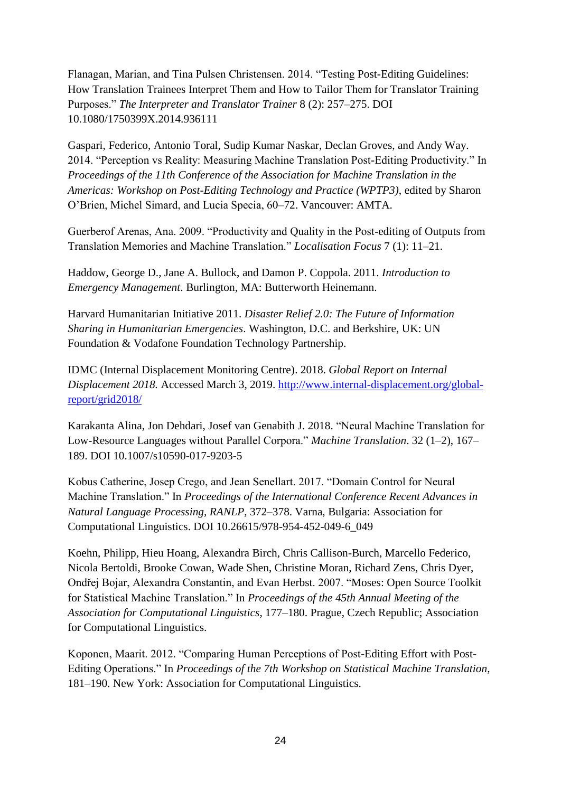Flanagan, Marian, and Tina Pulsen Christensen. 2014. "Testing Post-Editing Guidelines: How Translation Trainees Interpret Them and How to Tailor Them for Translator Training Purposes." *The Interpreter and Translator Trainer* 8 (2): 257–275. DOI 10.1080/1750399X.2014.936111

Gaspari, Federico, Antonio Toral, Sudip Kumar Naskar, Declan Groves, and Andy Way. 2014. "Perception vs Reality: Measuring Machine Translation Post-Editing Productivity." In *Proceedings of the 11th Conference of the Association for Machine Translation in the Americas: Workshop on Post-Editing Technology and Practice (WPTP3)*, edited by Sharon O'Brien, Michel Simard, and Lucia Specia, 60–72. Vancouver: AMTA.

Guerberof Arenas, Ana. 2009. "Productivity and Quality in the Post-editing of Outputs from Translation Memories and Machine Translation." *Localisation Focus* 7 (1): 11–21.

Haddow, George D., Jane A. Bullock, and Damon P. Coppola. 2011. *Introduction to Emergency Management*. Burlington, MA: Butterworth Heinemann.

Harvard Humanitarian Initiative 2011. *Disaster Relief 2.0: The Future of Information Sharing in Humanitarian Emergencies*. Washington, D.C. and Berkshire, UK: UN Foundation & Vodafone Foundation Technology Partnership.

IDMC (Internal Displacement Monitoring Centre). 2018. *Global Report on Internal Displacement 2018.* Accessed March 3, 2019. [http://www.internal-displacement.org/global](http://www.internal-displacement.org/global-report/grid2018/)[report/grid2018/](http://www.internal-displacement.org/global-report/grid2018/)

Karakanta Alina, Jon Dehdari, Josef van Genabith J. 2018. "Neural Machine Translation for Low-Resource Languages without Parallel Corpora." *Machine Translation*. 32 (1–2), 167– 189. DOI 10.1007/s10590-017-9203-5

Kobus Catherine, Josep Crego, and Jean Senellart. 2017. "Domain Control for Neural Machine Translation." In *Proceedings of the International Conference Recent Advances in Natural Language Processing, RANLP*, 372–378. Varna, Bulgaria: Association for Computational Linguistics. DOI 10.26615/978-954-452-049-6\_049

Koehn, Philipp, Hieu Hoang, Alexandra Birch, Chris Callison-Burch, Marcello Federico, Nicola Bertoldi, Brooke Cowan, Wade Shen, Christine Moran, Richard Zens, Chris Dyer, Ondřej Bojar, Alexandra Constantin, and Evan Herbst. 2007. "Moses: Open Source Toolkit for Statistical Machine Translation." In *Proceedings of the 45th Annual Meeting of the Association for Computational Linguistics*, 177–180. Prague, Czech Republic; Association for Computational Linguistics.

Koponen, Maarit. 2012. "Comparing Human Perceptions of Post-Editing Effort with Post-Editing Operations." In *Proceedings of the 7th Workshop on Statistical Machine Translation*, 181–190. New York: Association for Computational Linguistics.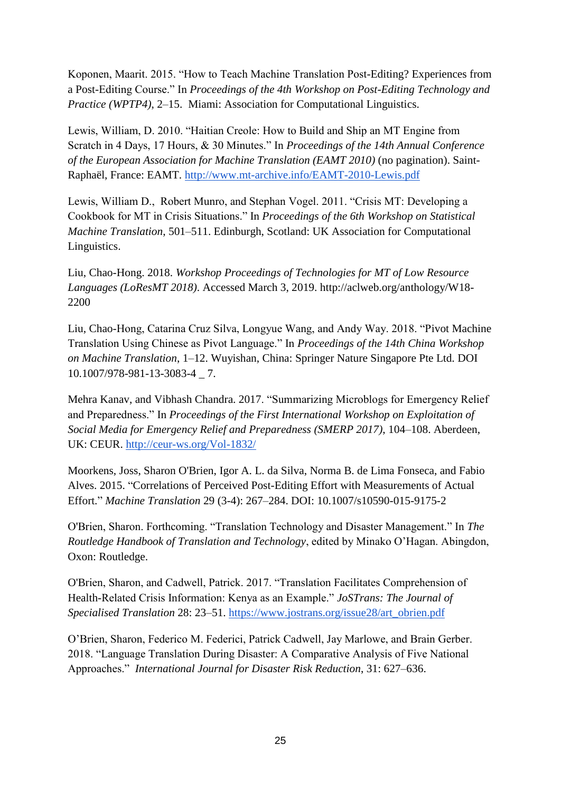Koponen, Maarit. 2015. "How to Teach Machine Translation Post-Editing? Experiences from a Post-Editing Course." In *Proceedings of the 4th Workshop on Post-Editing Technology and Practice (WPTP4)*, 2–15. Miami: Association for Computational Linguistics.

Lewis, William, D. 2010. "Haitian Creole: How to Build and Ship an MT Engine from Scratch in 4 Days, 17 Hours, & 30 Minutes." In *Proceedings of the 14th Annual Conference of the European Association for Machine Translation (EAMT 2010)* (no pagination). Saint-Raphaël, France: EAMT.<http://www.mt-archive.info/EAMT-2010-Lewis.pdf>

Lewis, William D., Robert Munro, and Stephan Vogel. 2011. "Crisis MT: Developing a Cookbook for MT in Crisis Situations." In *Proceedings of the 6th Workshop on Statistical Machine Translation*, 501–511. Edinburgh, Scotland: UK Association for Computational Linguistics.

Liu, Chao-Hong. 2018. *Workshop Proceedings of Technologies for MT of Low Resource Languages (LoResMT 2018)*. Accessed March 3, 2019. http://aclweb.org/anthology/W18- 2200

Liu, Chao-Hong, Catarina Cruz Silva, Longyue Wang, and Andy Way. 2018. "Pivot Machine Translation Using Chinese as Pivot Language." In *Proceedings of the 14th China Workshop on Machine Translation*, 1–12. Wuyishan, China: Springer Nature Singapore Pte Ltd. DOI 10.1007/978-981-13-3083-4 \_ 7.

Mehra Kanav, and Vibhash Chandra. 2017. "Summarizing Microblogs for Emergency Relief and Preparedness." In *Proceedings of the First International Workshop on Exploitation of Social Media for Emergency Relief and Preparedness (SMERP 2017)*, 104–108. Aberdeen, UK: CEUR.<http://ceur-ws.org/Vol-1832/>

Moorkens, Joss, Sharon O'Brien, Igor A. L. da Silva, Norma B. de Lima Fonseca, and Fabio Alves. 2015. "Correlations of Perceived Post-Editing Effort with Measurements of Actual Effort." *Machine Translation* 29 (3-4): 267–284. DOI: 10.1007/s10590-015-9175-2

O'Brien, Sharon. Forthcoming. "Translation Technology and Disaster Management." In *The Routledge Handbook of Translation and Technology*, edited by Minako O'Hagan. Abingdon, Oxon: Routledge.

O'Brien, Sharon, and Cadwell, Patrick. 2017. "Translation Facilitates Comprehension of Health-Related Crisis Information: Kenya as an Example." *JoSTrans: The Journal of Specialised Translation* 28: 23–51. [https://www.jostrans.org/issue28/art\\_obrien.pdf](https://www.jostrans.org/issue28/art_obrien.pdf)

O'Brien, Sharon, Federico M. Federici, Patrick Cadwell, Jay Marlowe, and Brain Gerber. 2018. "Language Translation During Disaster: A Comparative Analysis of Five National Approaches." *International Journal for Disaster Risk Reduction*, 31: 627–636.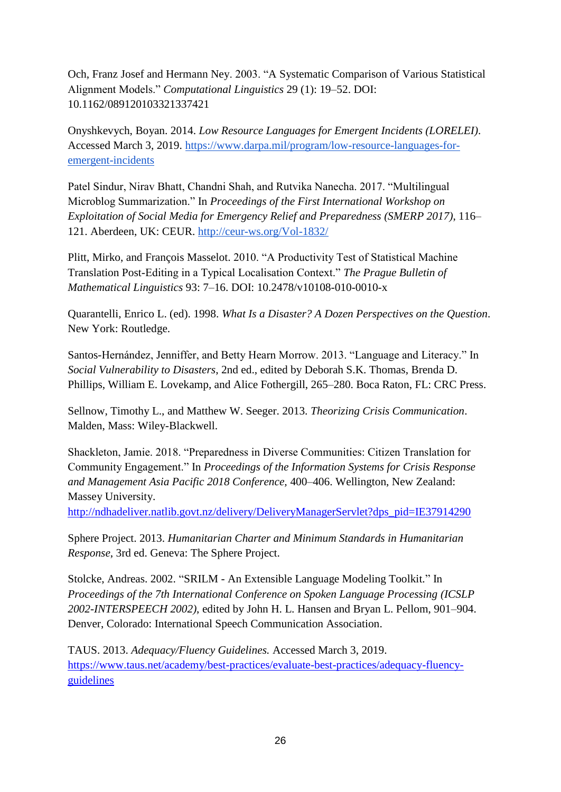Och, Franz Josef and Hermann Ney. 2003. "A Systematic Comparison of Various Statistical Alignment Models." *Computational Linguistics* 29 (1): 19–52. DOI: 10.1162/089120103321337421

Onyshkevych, Boyan. 2014. *Low Resource Languages for Emergent Incidents (LORELEI)*. Accessed March 3, 2019. [https://www.darpa.mil/program/low-resource-languages-for](https://www.darpa.mil/program/low-resource-languages-for-emergent-incidents)[emergent-incidents](https://www.darpa.mil/program/low-resource-languages-for-emergent-incidents)

Patel Sindur, Nirav Bhatt, Chandni Shah, and Rutvika Nanecha. 2017. "Multilingual Microblog Summarization." In *Proceedings of the First International Workshop on Exploitation of Social Media for Emergency Relief and Preparedness (SMERP 2017)*, 116– 121. Aberdeen, UK: CEUR.<http://ceur-ws.org/Vol-1832/>

Plitt, Mirko, and François Masselot. 2010. "A Productivity Test of Statistical Machine Translation Post-Editing in a Typical Localisation Context." *The Prague Bulletin of Mathematical Linguistics* 93: 7–16. DOI: 10.2478/v10108-010-0010-x

Quarantelli, Enrico L. (ed). 1998. *What Is a Disaster? A Dozen Perspectives on the Question*. New York: Routledge.

Santos-Hernández, Jenniffer, and Betty Hearn Morrow. 2013. "Language and Literacy." In *Social Vulnerability to Disasters*, 2nd ed., edited by Deborah S.K. Thomas, Brenda D. Phillips, William E. Lovekamp, and Alice Fothergill, 265–280. Boca Raton, FL: CRC Press.

Sellnow, Timothy L., and Matthew W. Seeger. 2013. *Theorizing Crisis Communication*. Malden, Mass: Wiley-Blackwell.

Shackleton, Jamie. 2018. "Preparedness in Diverse Communities: Citizen Translation for Community Engagement." In *Proceedings of the Information Systems for Crisis Response and Management Asia Pacific 2018 Conference,* 400–406. Wellington, New Zealand: Massey University.

[http://ndhadeliver.natlib.govt.nz/delivery/DeliveryManagerServlet?dps\\_pid=IE37914290](http://ndhadeliver.natlib.govt.nz/delivery/DeliveryManagerServlet?dps_pid=IE37914290)

Sphere Project. 2013. *Humanitarian Charter and Minimum Standards in Humanitarian Response*, 3rd ed. Geneva: The Sphere Project.

Stolcke, Andreas. 2002. "SRILM - An Extensible Language Modeling Toolkit." In *Proceedings of the 7th International Conference on Spoken Language Processing (ICSLP 2002-INTERSPEECH 2002)*, edited by John H. L. Hansen and Bryan L. Pellom, 901–904. Denver, Colorado: International Speech Communication Association.

TAUS. 2013. *Adequacy/Fluency Guidelines.* Accessed March 3, 2019. [https://www.taus.net/academy/best-practices/evaluate-best-practices/adequacy-fluency](https://www.taus.net/academy/best-practices/evaluate-best-practices/adequacy-fluency-guidelines)[guidelines](https://www.taus.net/academy/best-practices/evaluate-best-practices/adequacy-fluency-guidelines)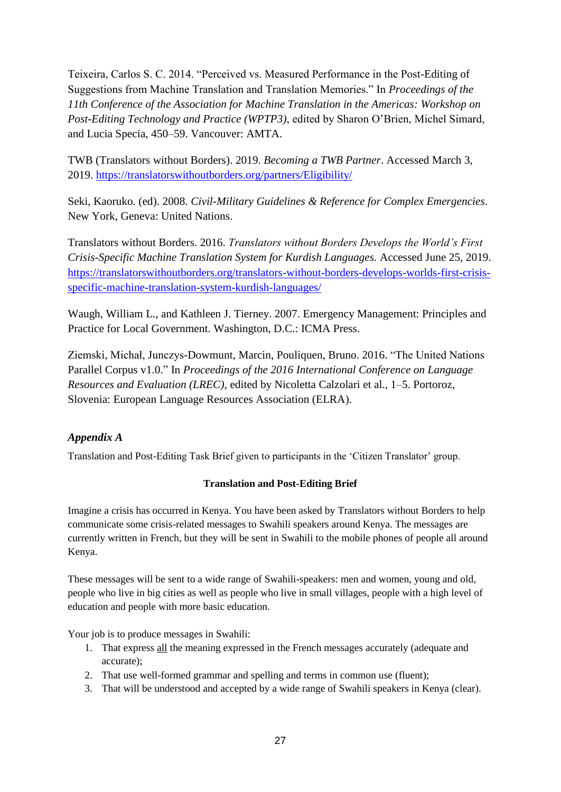Teixeira, Carlos S. C. 2014. "Perceived vs. Measured Performance in the Post-Editing of Suggestions from Machine Translation and Translation Memories." In *Proceedings of the 11th Conference of the Association for Machine Translation in the Americas: Workshop on Post-Editing Technology and Practice (WPTP3)*, edited by Sharon O'Brien, Michel Simard, and Lucia Specia, 450–59. Vancouver: AMTA.

TWB (Translators without Borders). 2019. *Becoming a TWB Partner*. Accessed March 3, 2019.<https://translatorswithoutborders.org/partners/Eligibility/>

Seki, Kaoruko. (ed). 2008. *Civil-Military Guidelines & Reference for Complex Emergencies*. New York, Geneva: United Nations.

Translators without Borders. 2016. *Translators without Borders Develops the World's First Crisis-Specific Machine Translation System for Kurdish Languages.* Accessed June 25, 2019. [https://translatorswithoutborders.org/translators-without-borders-develops-worlds-first-crisis](https://translatorswithoutborders.org/translators-without-borders-develops-worlds-first-crisis-specific-machine-translation-system-kurdish-languages/)[specific-machine-translation-system-kurdish-languages/](https://translatorswithoutborders.org/translators-without-borders-develops-worlds-first-crisis-specific-machine-translation-system-kurdish-languages/)

Waugh, William L., and Kathleen J. Tierney. 2007. Emergency Management: Principles and Practice for Local Government. Washington, D.C.: ICMA Press.

Ziemski, Michał, Junczys-Dowmunt, Marcin, Pouliquen, Bruno. 2016. "The United Nations Parallel Corpus v1.0." In *Proceedings of the 2016 International Conference on Language Resources and Evaluation (LREC),* edited by Nicoletta Calzolari et al., 1–5. Portoroz, Slovenia: European Language Resources Association (ELRA).

# *Appendix A*

Translation and Post-Editing Task Brief given to participants in the 'Citizen Translator' group.

## **Translation and Post-Editing Brief**

Imagine a crisis has occurred in Kenya. You have been asked by Translators without Borders to help communicate some crisis-related messages to Swahili speakers around Kenya. The messages are currently written in French, but they will be sent in Swahili to the mobile phones of people all around Kenya.

These messages will be sent to a wide range of Swahili-speakers: men and women, young and old, people who live in big cities as well as people who live in small villages, people with a high level of education and people with more basic education.

Your job is to produce messages in Swahili:

- 1. That express all the meaning expressed in the French messages accurately (adequate and accurate);
- 2. That use well-formed grammar and spelling and terms in common use (fluent);
- 3. That will be understood and accepted by a wide range of Swahili speakers in Kenya (clear).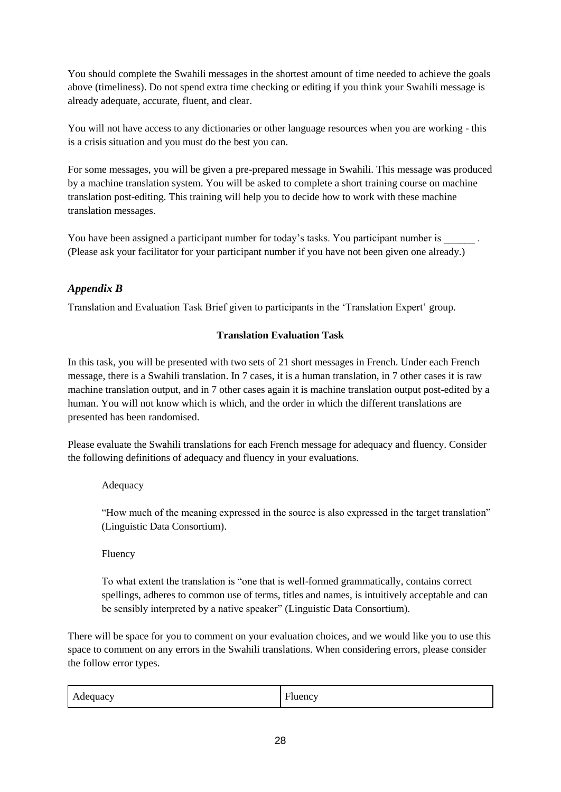You should complete the Swahili messages in the shortest amount of time needed to achieve the goals above (timeliness). Do not spend extra time checking or editing if you think your Swahili message is already adequate, accurate, fluent, and clear.

You will not have access to any dictionaries or other language resources when you are working - this is a crisis situation and you must do the best you can.

For some messages, you will be given a pre-prepared message in Swahili. This message was produced by a machine translation system. You will be asked to complete a short training course on machine translation post-editing. This training will help you to decide how to work with these machine translation messages.

You have been assigned a participant number for today's tasks. You participant number is  $\blacksquare$ . (Please ask your facilitator for your participant number if you have not been given one already.)

# *Appendix B*

Translation and Evaluation Task Brief given to participants in the 'Translation Expert' group.

## **Translation Evaluation Task**

In this task, you will be presented with two sets of 21 short messages in French. Under each French message, there is a Swahili translation. In 7 cases, it is a human translation, in 7 other cases it is raw machine translation output, and in 7 other cases again it is machine translation output post-edited by a human. You will not know which is which, and the order in which the different translations are presented has been randomised.

Please evaluate the Swahili translations for each French message for adequacy and fluency. Consider the following definitions of adequacy and fluency in your evaluations.

### Adequacy

"How much of the meaning expressed in the source is also expressed in the target translation" (Linguistic Data Consortium).

### Fluency

To what extent the translation is "one that is well-formed grammatically, contains correct spellings, adheres to common use of terms, titles and names, is intuitively acceptable and can be sensibly interpreted by a native speaker" (Linguistic Data Consortium).

There will be space for you to comment on your evaluation choices, and we would like you to use this space to comment on any errors in the Swahili translations. When considering errors, please consider the follow error types.

| Adequacy | $\mathbf{r}$   |
|----------|----------------|
| . .      | <b>Fluency</b> |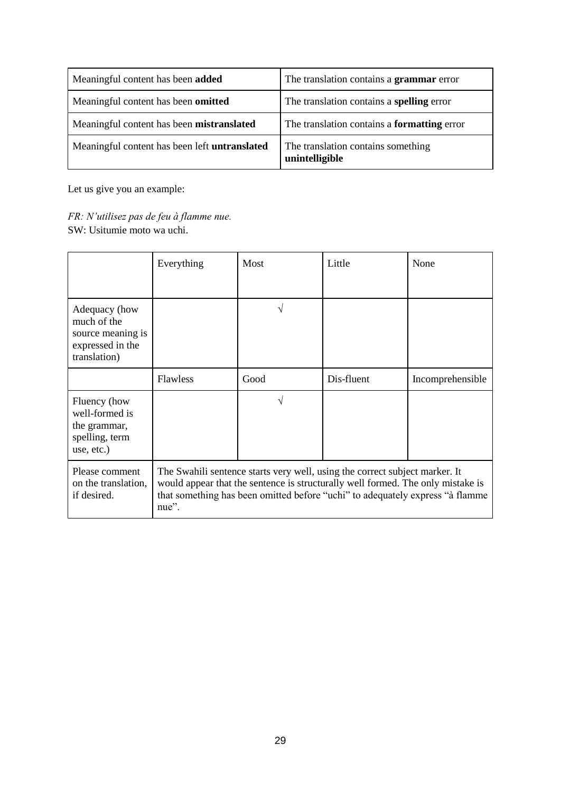| Meaningful content has been added                    | The translation contains a <b>grammar</b> error      |
|------------------------------------------------------|------------------------------------------------------|
| Meaningful content has been <b>omitted</b>           | The translation contains a spelling error            |
| Meaningful content has been mistranslated            | The translation contains a <b>formatting</b> error   |
| Meaningful content has been left <b>untranslated</b> | The translation contains something<br>unintelligible |

Let us give you an example:

*FR: N'utilisez pas de feu à flamme nue.* SW: Usitumie moto wa uchi.

|                                                                                                                                                                                                                                                                                                                  | Everything      | Most | Little     | None             |
|------------------------------------------------------------------------------------------------------------------------------------------------------------------------------------------------------------------------------------------------------------------------------------------------------------------|-----------------|------|------------|------------------|
| Adequacy (how<br>much of the<br>source meaning is<br>expressed in the<br>translation)                                                                                                                                                                                                                            |                 | V    |            |                  |
|                                                                                                                                                                                                                                                                                                                  | <b>Flawless</b> | Good | Dis-fluent | Incomprehensible |
| Fluency (how<br>well-formed is<br>the grammar,<br>spelling, term<br>use, etc.)                                                                                                                                                                                                                                   |                 | V    |            |                  |
| Please comment<br>The Swahili sentence starts very well, using the correct subject marker. It<br>would appear that the sentence is structurally well formed. The only mistake is<br>on the translation,<br>that something has been omitted before "uchi" to adequately express "à flamme<br>if desired.<br>nue". |                 |      |            |                  |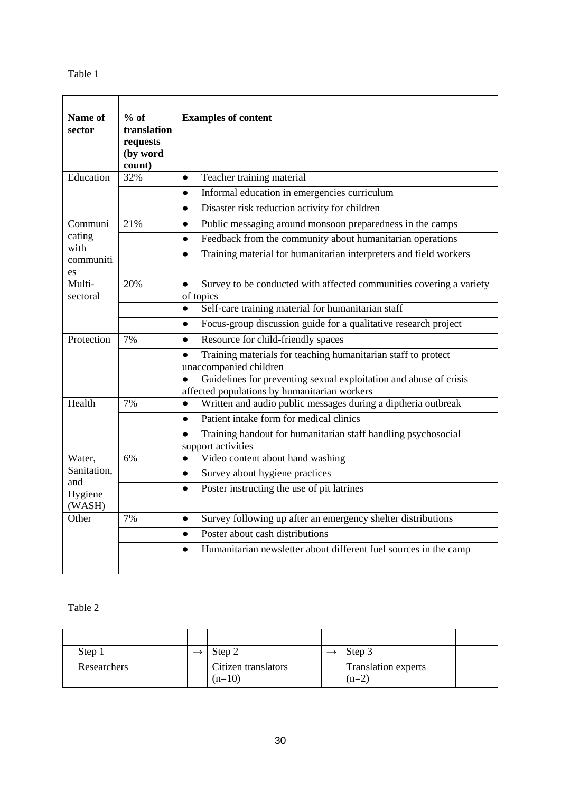| Name of<br>sector       | $%$ of<br>translation<br>requests<br>(by word<br>count) | <b>Examples of content</b>                                                                                                     |
|-------------------------|---------------------------------------------------------|--------------------------------------------------------------------------------------------------------------------------------|
| Education               | 32%                                                     | Teacher training material<br>$\bullet$                                                                                         |
|                         |                                                         | Informal education in emergencies curriculum<br>$\bullet$                                                                      |
|                         |                                                         | Disaster risk reduction activity for children<br>$\bullet$                                                                     |
| Communi                 | 21%                                                     | Public messaging around monsoon preparedness in the camps<br>$\bullet$                                                         |
| cating                  |                                                         | Feedback from the community about humanitarian operations<br>$\bullet$                                                         |
| with<br>communiti<br>es |                                                         | Training material for humanitarian interpreters and field workers<br>$\bullet$                                                 |
| Multi-<br>sectoral      | 20%                                                     | Survey to be conducted with affected communities covering a variety<br>$\bullet$<br>of topics                                  |
|                         |                                                         | Self-care training material for humanitarian staff<br>$\bullet$                                                                |
|                         |                                                         | Focus-group discussion guide for a qualitative research project<br>$\bullet$                                                   |
| Protection              | 7%                                                      | Resource for child-friendly spaces<br>$\bullet$                                                                                |
|                         |                                                         | Training materials for teaching humanitarian staff to protect<br>$\bullet$<br>unaccompanied children                           |
|                         |                                                         | Guidelines for preventing sexual exploitation and abuse of crisis<br>$\bullet$<br>affected populations by humanitarian workers |
| Health                  | 7%                                                      | Written and audio public messages during a diptheria outbreak<br>$\bullet$                                                     |
|                         |                                                         | Patient intake form for medical clinics<br>$\bullet$                                                                           |
|                         |                                                         | Training handout for humanitarian staff handling psychosocial<br>$\bullet$<br>support activities                               |
| Water,                  | 6%                                                      | Video content about hand washing<br>$\bullet$                                                                                  |
| Sanitation,<br>and      |                                                         | Survey about hygiene practices<br>$\bullet$                                                                                    |
| Hygiene<br>(WASH)       |                                                         | Poster instructing the use of pit latrines<br>$\bullet$                                                                        |
| Other                   | 7%                                                      | Survey following up after an emergency shelter distributions<br>$\bullet$                                                      |
|                         |                                                         | Poster about cash distributions<br>$\bullet$                                                                                   |
|                         |                                                         | Humanitarian newsletter about different fuel sources in the camp<br>$\bullet$                                                  |
|                         |                                                         |                                                                                                                                |

| Step 1      | Step 2                          | Step 3                                |  |
|-------------|---------------------------------|---------------------------------------|--|
| Researchers | Citizen translators<br>$(n=10)$ | <b>Translation experts</b><br>$(n=2)$ |  |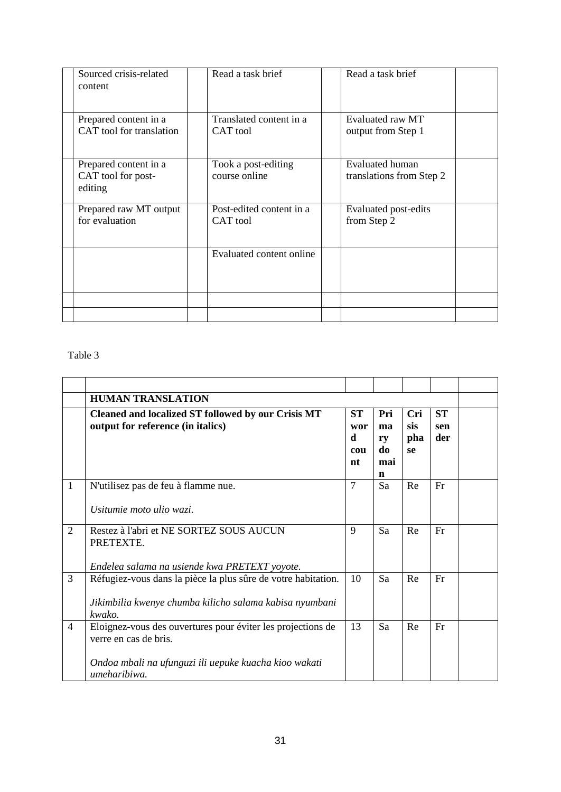| Sourced crisis-related<br>content                      | Read a task brief                    | Read a task brief                           |
|--------------------------------------------------------|--------------------------------------|---------------------------------------------|
| Prepared content in a<br>CAT tool for translation      | Translated content in a<br>CAT tool  | Evaluated raw MT<br>output from Step 1      |
| Prepared content in a<br>CAT tool for post-<br>editing | Took a post-editing<br>course online | Evaluated human<br>translations from Step 2 |
| Prepared raw MT output<br>for evaluation               | Post-edited content in a<br>CAT tool | Evaluated post-edits<br>from Step 2         |
|                                                        | Evaluated content online             |                                             |
|                                                        |                                      |                                             |

|                | <b>HUMAN TRANSLATION</b>                                                                                                                                      |                                    |                                   |                         |                         |  |
|----------------|---------------------------------------------------------------------------------------------------------------------------------------------------------------|------------------------------------|-----------------------------------|-------------------------|-------------------------|--|
|                | <b>Cleaned and localized ST followed by our Crisis MT</b><br>output for reference (in italics)                                                                | <b>ST</b><br>wor<br>d<br>cou<br>nt | Pri<br>ma<br>ry<br>do<br>mai<br>n | Cri<br>sis<br>pha<br>se | <b>ST</b><br>sen<br>der |  |
| $\mathbf{1}$   | N'utilisez pas de feu à flamme nue.<br>Usitumie moto ulio wazi.                                                                                               | $\tau$                             | Sa                                | Re                      | Fr                      |  |
| 2              | Restez à l'abri et NE SORTEZ SOUS AUCUN<br>PRETEXTE.<br>Endelea salama na usiende kwa PRETEXT yoyote.                                                         | 9                                  | Sa                                | Re                      | Fr                      |  |
| $\overline{3}$ | Réfugiez-vous dans la pièce la plus sûre de votre habitation.<br>Jikimbilia kwenye chumba kilicho salama kabisa nyumbani<br>kwako.                            | 10                                 | Sa                                | Re                      | Fr                      |  |
| $\overline{4}$ | Eloignez-vous des ouvertures pour éviter les projections de<br>verre en cas de bris.<br>Ondoa mbali na ufunguzi ili uepuke kuacha kioo wakati<br>umeharibiwa. | 13                                 | Sa                                | Re                      | Fr                      |  |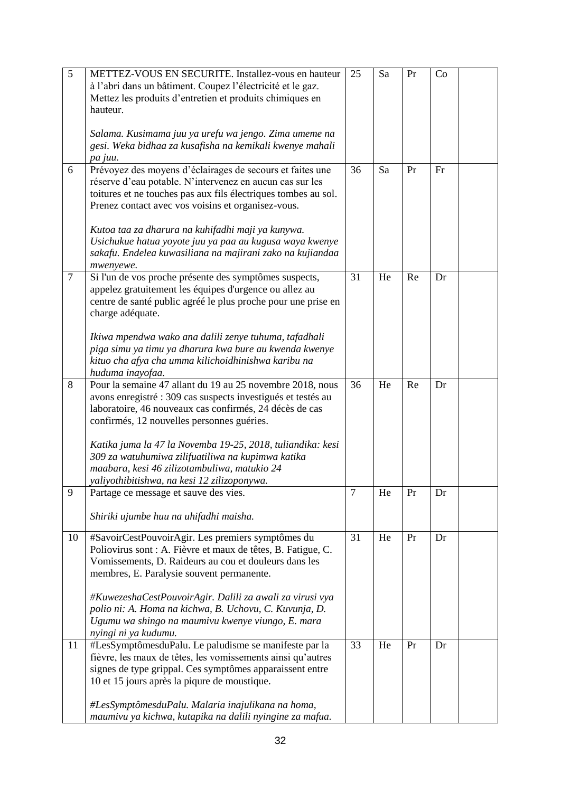| $\overline{5}$ | METTEZ-VOUS EN SECURITE. Installez-vous en hauteur                                                                     | 25 | Sa | Pr | Co |  |
|----------------|------------------------------------------------------------------------------------------------------------------------|----|----|----|----|--|
|                | à l'abri dans un bâtiment. Coupez l'électricité et le gaz.<br>Mettez les produits d'entretien et produits chimiques en |    |    |    |    |  |
|                | hauteur.                                                                                                               |    |    |    |    |  |
|                |                                                                                                                        |    |    |    |    |  |
|                | Salama. Kusimama juu ya urefu wa jengo. Zima umeme na                                                                  |    |    |    |    |  |
|                | gesi. Weka bidhaa za kusafisha na kemikali kwenye mahali<br>pa juu.                                                    |    |    |    |    |  |
| 6              | Prévoyez des moyens d'éclairages de secours et faites une                                                              | 36 | Sa | Pr | Fr |  |
|                | réserve d'eau potable. N'intervenez en aucun cas sur les                                                               |    |    |    |    |  |
|                | toitures et ne touches pas aux fils électriques tombes au sol.                                                         |    |    |    |    |  |
|                | Prenez contact avec vos voisins et organisez-vous.                                                                     |    |    |    |    |  |
|                | Kutoa taa za dharura na kuhifadhi maji ya kunywa.                                                                      |    |    |    |    |  |
|                | Usichukue hatua yoyote juu ya paa au kugusa waya kwenye                                                                |    |    |    |    |  |
|                | sakafu. Endelea kuwasiliana na majirani zako na kujiandaa<br>mwenyewe.                                                 |    |    |    |    |  |
| $\tau$         | Si l'un de vos proche présente des symptômes suspects,                                                                 | 31 | He | Re | Dr |  |
|                | appelez gratuitement les équipes d'urgence ou allez au                                                                 |    |    |    |    |  |
|                | centre de santé public agréé le plus proche pour une prise en<br>charge adéquate.                                      |    |    |    |    |  |
|                |                                                                                                                        |    |    |    |    |  |
|                | Ikiwa mpendwa wako ana dalili zenye tuhuma, tafadhali                                                                  |    |    |    |    |  |
|                | piga simu ya timu ya dharura kwa bure au kwenda kwenye                                                                 |    |    |    |    |  |
|                | kituo cha afya cha umma kilichoidhinishwa karibu na<br>huduma inayofaa.                                                |    |    |    |    |  |
| 8              | Pour la semaine 47 allant du 19 au 25 novembre 2018, nous                                                              | 36 | He | Re | Dr |  |
|                | avons enregistré : 309 cas suspects investigués et testés au                                                           |    |    |    |    |  |
|                | laboratoire, 46 nouveaux cas confirmés, 24 décès de cas                                                                |    |    |    |    |  |
|                | confirmés, 12 nouvelles personnes guéries.                                                                             |    |    |    |    |  |
|                | Katika juma la 47 la Novemba 19-25, 2018, tuliandika: kesi                                                             |    |    |    |    |  |
|                | 309 za watuhumiwa zilifuatiliwa na kupimwa katika                                                                      |    |    |    |    |  |
|                | maabara, kesi 46 zilizotambuliwa, matukio 24                                                                           |    |    |    |    |  |
|                | yaliyothibitishwa, na kesi 12 zilizoponywa.                                                                            |    |    |    |    |  |
| 9              | Partage ce message et sauve des vies.                                                                                  | 7  | He | Pr | Dr |  |
|                | Shiriki ujumbe huu na uhifadhi maisha.                                                                                 |    |    |    |    |  |
| 10             | #SavoirCestPouvoirAgir. Les premiers symptômes du                                                                      | 31 | He | Pr | Dr |  |
|                | Poliovirus sont : A. Fièvre et maux de têtes, B. Fatigue, C.                                                           |    |    |    |    |  |
|                | Vomissements, D. Raideurs au cou et douleurs dans les                                                                  |    |    |    |    |  |
|                | membres, E. Paralysie souvent permanente.                                                                              |    |    |    |    |  |
|                | #KuwezeshaCestPouvoirAgir. Dalili za awali za virusi vya                                                               |    |    |    |    |  |
|                | polio ni: A. Homa na kichwa, B. Uchovu, C. Kuvunja, D.                                                                 |    |    |    |    |  |
|                | Ugumu wa shingo na maumivu kwenye viungo, E. mara                                                                      |    |    |    |    |  |
| 11             | nyingi ni ya kudumu.<br>#LesSymptômesduPalu. Le paludisme se manifeste par la                                          | 33 | He | Pr | Dr |  |
|                | fièvre, les maux de têtes, les vomissements ainsi qu'autres                                                            |    |    |    |    |  |
|                | signes de type grippal. Ces symptômes apparaissent entre                                                               |    |    |    |    |  |
|                | 10 et 15 jours après la piqure de moustique.                                                                           |    |    |    |    |  |
|                | #LesSymptômesduPalu. Malaria inajulikana na homa,                                                                      |    |    |    |    |  |
|                | maumivu ya kichwa, kutapika na dalili nyingine za mafua.                                                               |    |    |    |    |  |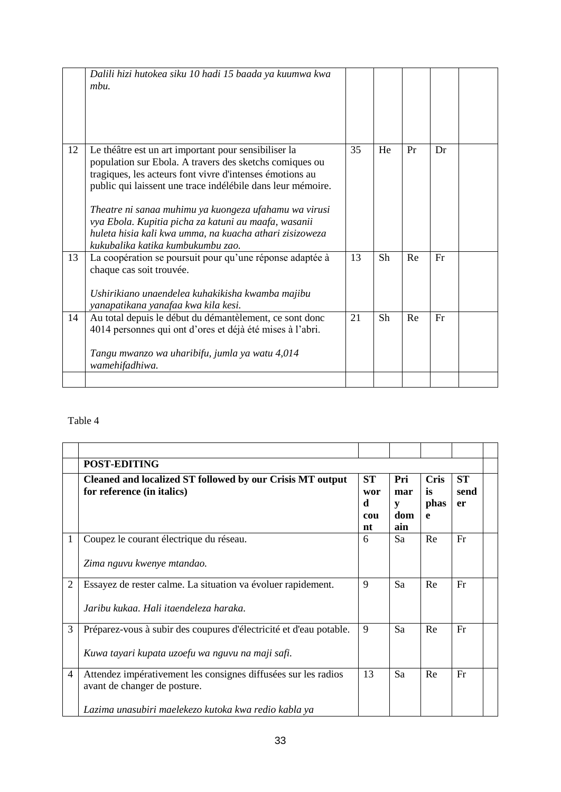|    | Dalili hizi hutokea siku 10 hadi 15 baada ya kuumwa kwa<br>mbu.                                                                                                                                                                                                                                                                                                                                                                                             |    |    |    |    |  |
|----|-------------------------------------------------------------------------------------------------------------------------------------------------------------------------------------------------------------------------------------------------------------------------------------------------------------------------------------------------------------------------------------------------------------------------------------------------------------|----|----|----|----|--|
| 12 | Le théâtre est un art important pour sensibiliser la<br>population sur Ebola. A travers des sketchs comiques ou<br>tragiques, les acteurs font vivre d'intenses émotions au<br>public qui laissent une trace indélébile dans leur mémoire.<br>Theatre ni sanaa muhimu ya kuongeza ufahamu wa virusi<br>vya Ebola. Kupitia picha za katuni au maafa, wasanii<br>huleta hisia kali kwa umma, na kuacha athari zisizoweza<br>kukubalika katika kumbukumbu zao. | 35 | He | Pr | Dr |  |
| 13 | La coopération se poursuit pour qu'une réponse adaptée à<br>chaque cas soit trouvée.<br>Ushirikiano unaendelea kuhakikisha kwamba majibu<br>yanapatikana yanafaa kwa kila kesi.                                                                                                                                                                                                                                                                             | 13 | Sh | Re | Fr |  |
| 14 | Au total depuis le début du démantèlement, ce sont donc<br>4014 personnes qui ont d'ores et déjà été mises à l'abri.<br>Tangu mwanzo wa uharibifu, jumla ya watu 4,014<br>wamehifadhiwa.                                                                                                                                                                                                                                                                    | 21 | Sh | Re | Fr |  |
|    |                                                                                                                                                                                                                                                                                                                                                                                                                                                             |    |    |    |    |  |

|                | <b>POST-EDITING</b>                                                                                                                                    |                                    |                               |                                |                         |  |
|----------------|--------------------------------------------------------------------------------------------------------------------------------------------------------|------------------------------------|-------------------------------|--------------------------------|-------------------------|--|
|                | Cleaned and localized ST followed by our Crisis MT output<br>for reference (in italics)                                                                | <b>ST</b><br>wor<br>d<br>cou<br>nt | Pri<br>mar<br>V<br>dom<br>ain | <b>Cris</b><br>is<br>phas<br>e | <b>ST</b><br>send<br>er |  |
| 1              | Coupez le courant électrique du réseau.<br>Zima nguvu kwenye mtandao.                                                                                  | 6                                  | Sa                            | Re                             | Fr                      |  |
| $\overline{2}$ | Essayez de rester calme. La situation va évoluer rapidement.<br>Jaribu kukaa. Hali itaendeleza haraka.                                                 | 9                                  | Sa                            | Re                             | Fr                      |  |
| 3              | Préparez-vous à subir des coupures d'électricité et d'eau potable.<br>Kuwa tayari kupata uzoefu wa nguvu na maji safi.                                 | 9                                  | Sa                            | Re                             | Fr                      |  |
| $\overline{4}$ | Attendez impérativement les consignes diffusées sur les radios<br>avant de changer de posture.<br>Lazima unasubiri maelekezo kutoka kwa redio kabla ya | 13                                 | Sa                            | Re                             | Fr                      |  |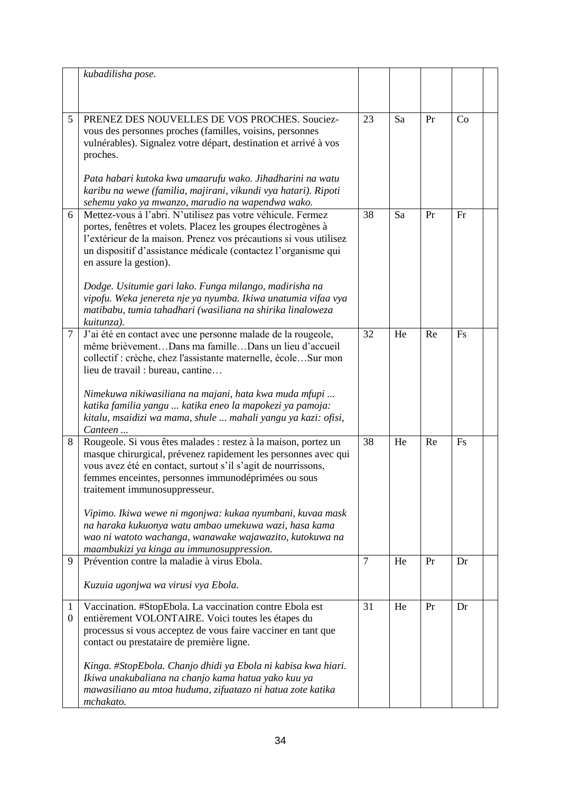|                                  | kubadilisha pose.                                                                                                                                                                                                                                                                         |                |    |    |    |  |
|----------------------------------|-------------------------------------------------------------------------------------------------------------------------------------------------------------------------------------------------------------------------------------------------------------------------------------------|----------------|----|----|----|--|
|                                  |                                                                                                                                                                                                                                                                                           |                |    |    |    |  |
| 5                                | PRENEZ DES NOUVELLES DE VOS PROCHES. Souciez-                                                                                                                                                                                                                                             | 23             | Sa | Pr | Co |  |
|                                  | vous des personnes proches (familles, voisins, personnes<br>vulnérables). Signalez votre départ, destination et arrivé à vos                                                                                                                                                              |                |    |    |    |  |
|                                  | proches.                                                                                                                                                                                                                                                                                  |                |    |    |    |  |
|                                  | Pata habari kutoka kwa umaarufu wako. Jihadharini na watu<br>karibu na wewe (familia, majirani, vikundi vya hatari). Ripoti<br>sehemu yako ya mwanzo, marudio na wapendwa wako.                                                                                                           |                |    |    |    |  |
| 6                                | Mettez-vous à l'abri. N'utilisez pas votre véhicule. Fermez<br>portes, fenêtres et volets. Placez les groupes électrogènes à<br>l'extérieur de la maison. Prenez vos précautions si vous utilisez<br>un dispositif d'assistance médicale (contactez l'organisme qui                       | 38             | Sa | Pr | Fr |  |
|                                  | en assure la gestion).                                                                                                                                                                                                                                                                    |                |    |    |    |  |
|                                  | Dodge. Usitumie gari lako. Funga milango, madirisha na<br>vipofu. Weka jenereta nje ya nyumba. Ikiwa unatumia vifaa vya<br>matibabu, tumia tahadhari (wasiliana na shirika linaloweza<br>kuitunza).                                                                                       |                |    |    |    |  |
| $\tau$                           | J'ai été en contact avec une personne malade de la rougeole,<br>même brièvementDans ma familleDans un lieu d'accueil<br>collectif : crèche, chez l'assistante maternelle, écoleSur mon<br>lieu de travail : bureau, cantine                                                               | 32             | He | Re | Fs |  |
|                                  | Nimekuwa nikiwasiliana na majani, hata kwa muda mfupi<br>katika familia yangu  katika eneo la mapokezi ya pamoja:<br>kitalu, msaidizi wa mama, shule  mahali yangu ya kazi: ofisi,<br>Canteen                                                                                             |                |    |    |    |  |
| 8                                | Rougeole. Si vous êtes malades : restez à la maison, portez un<br>masque chirurgical, prévenez rapidement les personnes avec qui<br>vous avez été en contact, surtout s'il s'agit de nourrissons,<br>femmes enceintes, personnes immunodéprimées ou sous<br>traitement immunosuppresseur. | 38             | He | Re | Fs |  |
|                                  | Vipimo. Ikiwa wewe ni mgonjwa: kukaa nyumbani, kuvaa mask<br>na haraka kukuonya watu ambao umekuwa wazi, hasa kama<br>wao ni watoto wachanga, wanawake wajawazito, kutokuwa na<br>maambukizi ya kinga au immunosuppression.                                                               |                |    |    |    |  |
| 9                                | Prévention contre la maladie à virus Ebola.                                                                                                                                                                                                                                               | $\overline{7}$ | He | Pr | Dr |  |
|                                  | Kuzuia ugonjwa wa virusi vya Ebola.                                                                                                                                                                                                                                                       |                |    |    |    |  |
| $\mathbf{1}$<br>$\boldsymbol{0}$ | Vaccination. #StopEbola. La vaccination contre Ebola est<br>entièrement VOLONTAIRE. Voici toutes les étapes du<br>processus si vous acceptez de vous faire vacciner en tant que<br>contact ou prestataire de première ligne.                                                              | 31             | He | Pr | Dr |  |
|                                  | Kinga. #StopEbola. Chanjo dhidi ya Ebola ni kabisa kwa hiari.<br>Ikiwa unakubaliana na chanjo kama hatua yako kuu ya<br>mawasiliano au mtoa huduma, zifuatazo ni hatua zote katika<br>mchakato.                                                                                           |                |    |    |    |  |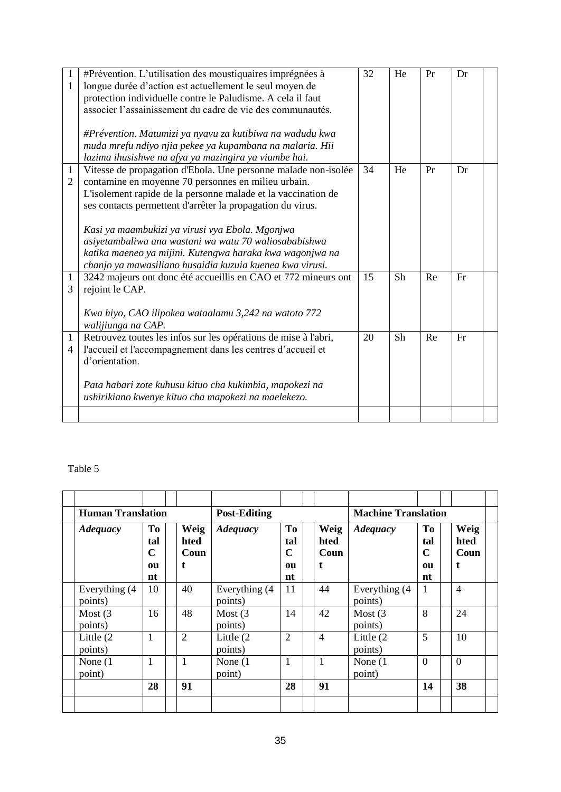| $\mathbf{1}$<br>$\mathbf{1}$   | #Prévention. L'utilisation des moustiquaires imprégnées à<br>longue durée d'action est actuellement le seul moyen de<br>protection individuelle contre le Paludisme. A cela il faut<br>associer l'assainissement du cadre de vie des communautés.<br>#Prévention. Matumizi ya nyavu za kutibiwa na wadudu kwa<br>muda mrefu ndiyo njia pekee ya kupambana na malaria. Hii                                                                                                                                                                        | 32 | He | Pr | Dr |  |
|--------------------------------|--------------------------------------------------------------------------------------------------------------------------------------------------------------------------------------------------------------------------------------------------------------------------------------------------------------------------------------------------------------------------------------------------------------------------------------------------------------------------------------------------------------------------------------------------|----|----|----|----|--|
| $\mathbf{1}$<br>$\overline{2}$ | lazima ihusishwe na afya ya mazingira ya viumbe hai.<br>Vitesse de propagation d'Ebola. Une personne malade non-isolée<br>contamine en moyenne 70 personnes en milieu urbain.<br>L'isolement rapide de la personne malade et la vaccination de<br>ses contacts permettent d'arrêter la propagation du virus.<br>Kasi ya maambukizi ya virusi vya Ebola. Mgonjwa<br>asiyetambuliwa ana wastani wa watu 70 waliosababishwa<br>katika maeneo ya mijini. Kutengwa haraka kwa wagonjwa na<br>chanjo ya mawasiliano husaidia kuzuia kuenea kwa virusi. | 34 | He | Pr | Dr |  |
| $\mathbf{1}$<br>3              | 3242 majeurs ont donc été accueillis en CAO et 772 mineurs ont<br>rejoint le CAP.<br>Kwa hiyo, CAO ilipokea wataalamu 3,242 na watoto 772<br>walijiunga na CAP.                                                                                                                                                                                                                                                                                                                                                                                  | 15 | Sh | Re | Fr |  |
| $\mathbf{1}$                   | Retrouvez toutes les infos sur les opérations de mise à l'abri,<br>l'accueil et l'accompagnement dans les centres d'accueil et<br>$\overline{4}$<br>d'orientation.<br>Pata habari zote kuhusu kituo cha kukimbia, mapokezi na<br>ushirikiano kwenye kituo cha mapokezi na maelekezo.                                                                                                                                                                                                                                                             | 20 | Sh | Re | Fr |  |
|                                |                                                                                                                                                                                                                                                                                                                                                                                                                                                                                                                                                  |    |    |    |    |  |

|                          | <b>Human Translation</b>    |                            |                           | <b>Post-Editing</b>                  |  |                           | <b>Machine Translation</b> |                            |                           |
|--------------------------|-----------------------------|----------------------------|---------------------------|--------------------------------------|--|---------------------------|----------------------------|----------------------------|---------------------------|
| <b>Adequacy</b>          | To<br>tal<br>C<br>011<br>nt | Weig<br>hted<br>Coun<br>t. | <b>Adequacy</b>           | To<br>tal<br>$\mathbf C$<br>ou<br>nt |  | Weig<br>hted<br>Coun<br>t | <b>Adequacy</b>            | To<br>tal<br>C<br>ou<br>nt | Weig<br>hted<br>Coun<br>t |
| Everything (4<br>points) | 10                          | 40                         | Everything (4)<br>points) | 11                                   |  | 44                        | Everything (4)<br>points)  | 1                          | 4                         |
| Most $(3)$<br>points)    | 16                          | 48                         | Most $(3)$<br>points)     | 14                                   |  | 42                        | Most $(3)$<br>points)      | 8                          | 24                        |
| Little (2)<br>points)    | 1                           | $\overline{2}$             | Little (2)<br>points)     | $\overline{2}$                       |  | $\overline{4}$            | Little (2)<br>points)      | 5                          | 10                        |
| None $(1)$<br>point)     | 1                           | 1                          | None $(1)$<br>point)      | $\mathbf{1}$                         |  | $\mathbf{1}$              | None $(1)$<br>point)       | $\overline{0}$             | $\overline{0}$            |
|                          | 28                          | 91                         |                           | 28                                   |  | 91                        |                            | 14                         | 38                        |
|                          |                             |                            |                           |                                      |  |                           |                            |                            |                           |